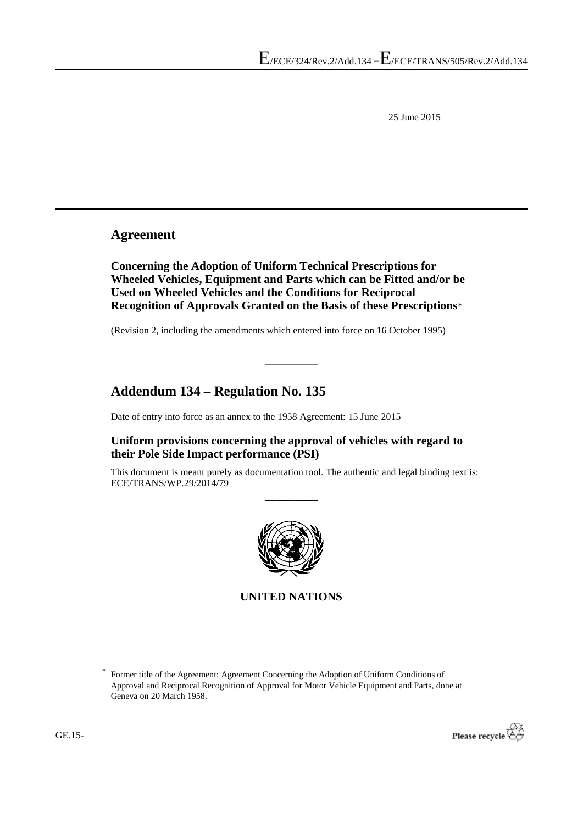25 June 2015

### **Agreement**

**Concerning the Adoption of Uniform Technical Prescriptions for Wheeled Vehicles, Equipment and Parts which can be Fitted and/or be Used on Wheeled Vehicles and the Conditions for Reciprocal Recognition of Approvals Granted on the Basis of these Prescriptions**\*

**\_\_\_\_\_\_\_\_\_**

(Revision 2, including the amendments which entered into force on 16 October 1995)

## **Addendum 134 – Regulation No. 135**

Date of entry into force as an annex to the 1958 Agreement: 15 June 2015

**Uniform provisions concerning the approval of vehicles with regard to their Pole Side Impact performance (PSI)**

This document is meant purely as documentation tool. The authentic and legal binding text is: ECE/TRANS/WP.29/2014/79

**\_\_\_\_\_\_\_\_\_**



**UNITED NATIONS**

Former title of the Agreement: Agreement Concerning the Adoption of Uniform Conditions of Approval and Reciprocal Recognition of Approval for Motor Vehicle Equipment and Parts, done at Geneva on 20 March 1958.



\*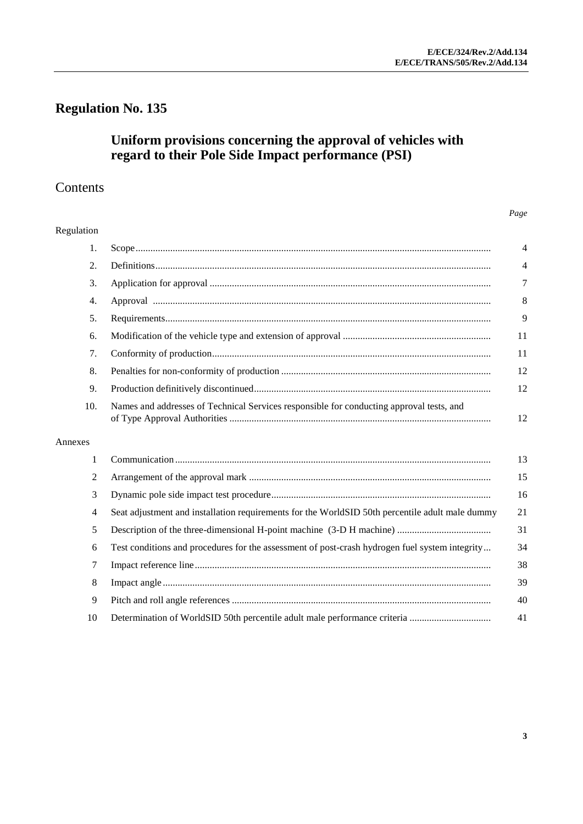# **Regulation No. 135**

### **Uniform provisions concerning the approval of vehicles with regard to their Pole Side Impact performance (PSI)**

## Contents

#### *Page*

#### Regulation

|                                                                                                 | $\overline{4}$ |
|-------------------------------------------------------------------------------------------------|----------------|
|                                                                                                 | 4              |
|                                                                                                 | 7              |
|                                                                                                 | 8              |
|                                                                                                 | 9              |
|                                                                                                 | 11             |
|                                                                                                 | 11             |
|                                                                                                 | 12             |
|                                                                                                 | 12             |
| Names and addresses of Technical Services responsible for conducting approval tests, and        | 12             |
|                                                                                                 |                |
|                                                                                                 |                |
|                                                                                                 | 13             |
|                                                                                                 | 15             |
|                                                                                                 | 16             |
| Seat adjustment and installation requirements for the WorldSID 50th percentile adult male dummy | 21             |
|                                                                                                 | 31             |
| Test conditions and procedures for the assessment of post-crash hydrogen fuel system integrity  | 34             |
|                                                                                                 | 38             |
|                                                                                                 | 39             |
|                                                                                                 | 40             |
|                                                                                                 |                |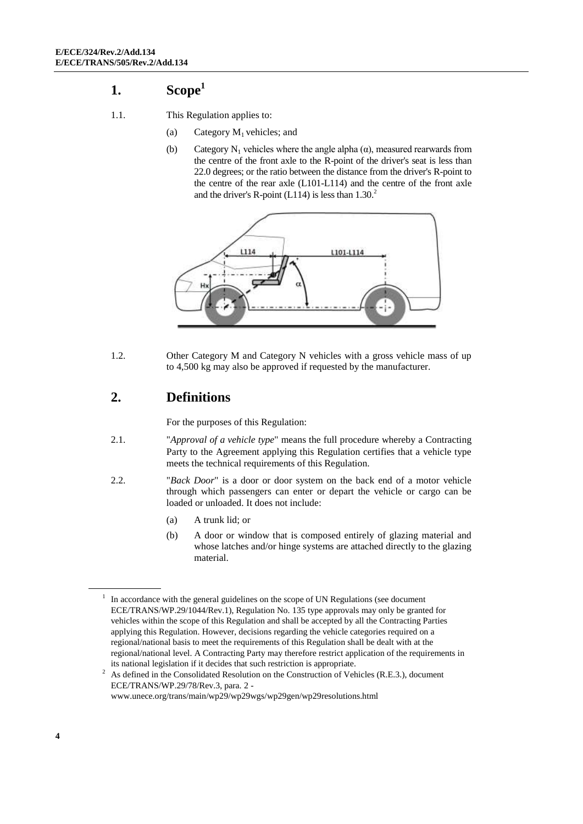## <span id="page-3-0"></span>**1. Scope<sup>1</sup>**

- 1.1. This Regulation applies to:
	- (a) Category  $M_1$  vehicles; and
	- (b) Category N<sub>1</sub> vehicles where the angle alpha  $(\alpha)$ , measured rearwards from the centre of the front axle to the R-point of the driver's seat is less than 22.0 degrees; or the ratio between the distance from the driver's R-point to the centre of the rear axle (L101-L114) and the centre of the front axle and the driver's R-point (L114) is less than  $1.30<sup>2</sup>$



1.2. Other Category M and Category N vehicles with a gross vehicle mass of up to 4,500 kg may also be approved if requested by the manufacturer.

### <span id="page-3-1"></span>**2. Definitions**

For the purposes of this Regulation:

- 2.1. "*Approval of a vehicle type*" means the full procedure whereby a Contracting Party to the Agreement applying this Regulation certifies that a vehicle type meets the technical requirements of this Regulation.
- 2.2. "*Back Door*" is a door or door system on the back end of a motor vehicle through which passengers can enter or depart the vehicle or cargo can be loaded or unloaded. It does not include:
	- (a) A trunk lid; or
	- (b) A door or window that is composed entirely of glazing material and whose latches and/or hinge systems are attached directly to the glazing material.

<sup>1</sup> In accordance with the general guidelines on the scope of UN Regulations (see document ECE/TRANS/WP.29/1044/Rev.1), Regulation No. 135 type approvals may only be granted for vehicles within the scope of this Regulation and shall be accepted by all the Contracting Parties applying this Regulation. However, decisions regarding the vehicle categories required on a regional/national basis to meet the requirements of this Regulation shall be dealt with at the regional/national level. A Contracting Party may therefore restrict application of the requirements in its national legislation if it decides that such restriction is appropriate.

<sup>&</sup>lt;sup>2</sup> As defined in the Consolidated Resolution on the Construction of Vehicles (R.E.3.), document ECE/TRANS/WP.29/78/Rev.3, para. 2 www.unece.org/trans/main/wp29/wp29wgs/wp29gen/wp29resolutions.html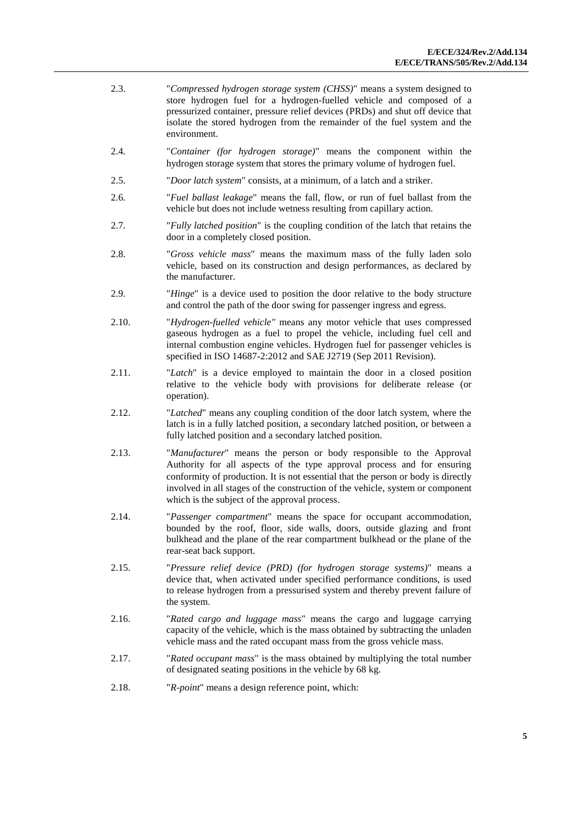- 2.3. "*Compressed hydrogen storage system (CHSS)*" means a system designed to store hydrogen fuel for a hydrogen-fuelled vehicle and composed of a pressurized container, pressure relief devices (PRDs) and shut off device that isolate the stored hydrogen from the remainder of the fuel system and the environment.
- 2.4. "*Container (for hydrogen storage)*" means the component within the hydrogen storage system that stores the primary volume of hydrogen fuel.
- 2.5. "*Door latch system*" consists, at a minimum, of a latch and a striker.
- 2.6. "*Fuel ballast leakage*" means the fall, flow, or run of fuel ballast from the vehicle but does not include wetness resulting from capillary action.
- 2.7. "*Fully latched position*" is the coupling condition of the latch that retains the door in a completely closed position.
- 2.8. "*Gross vehicle mass*" means the maximum mass of the fully laden solo vehicle, based on its construction and design performances, as declared by the manufacturer.
- 2.9. "*Hinge*" is a device used to position the door relative to the body structure and control the path of the door swing for passenger ingress and egress.
- 2.10. "*Hydrogen-fuelled vehicle"* means any motor vehicle that uses compressed gaseous hydrogen as a fuel to propel the vehicle, including fuel cell and internal combustion engine vehicles. Hydrogen fuel for passenger vehicles is specified in ISO 14687-2:2012 and SAE J2719 (Sep 2011 Revision).
- 2.11. "*Latch*" is a device employed to maintain the door in a closed position relative to the vehicle body with provisions for deliberate release (or operation).
- 2.12. "*Latched*" means any coupling condition of the door latch system, where the latch is in a fully latched position, a secondary latched position, or between a fully latched position and a secondary latched position.
- 2.13. "*Manufacturer*" means the person or body responsible to the Approval Authority for all aspects of the type approval process and for ensuring conformity of production. It is not essential that the person or body is directly involved in all stages of the construction of the vehicle, system or component which is the subject of the approval process.
- 2.14. "*Passenger compartment*" means the space for occupant accommodation, bounded by the roof, floor, side walls, doors, outside glazing and front bulkhead and the plane of the rear compartment bulkhead or the plane of the rear-seat back support.
- 2.15. "*Pressure relief device (PRD) (for hydrogen storage systems)*" means a device that, when activated under specified performance conditions, is used to release hydrogen from a pressurised system and thereby prevent failure of the system.
- 2.16. "*Rated cargo and luggage mass*" means the cargo and luggage carrying capacity of the vehicle, which is the mass obtained by subtracting the unladen vehicle mass and the rated occupant mass from the gross vehicle mass.
- 2.17. "*Rated occupant mass*" is the mass obtained by multiplying the total number of designated seating positions in the vehicle by 68 kg.
- 2.18. "*R-point*" means a design reference point, which: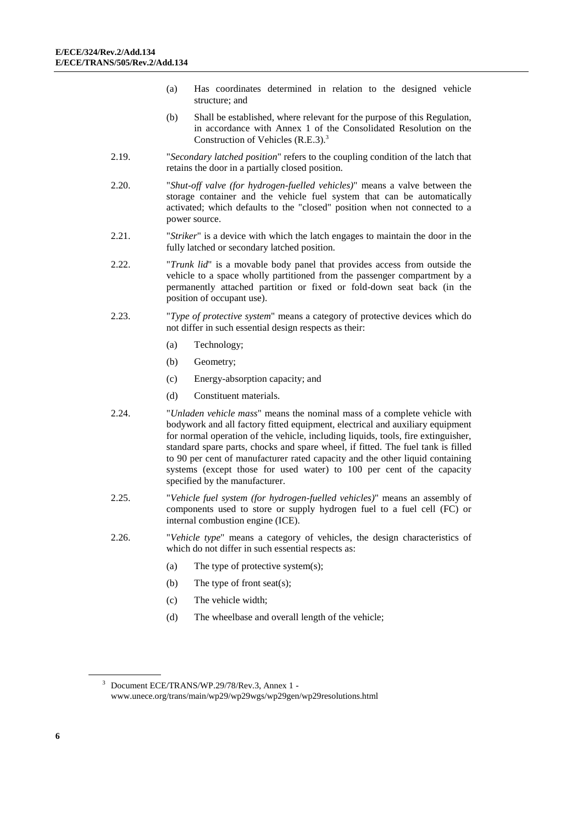- (a) Has coordinates determined in relation to the designed vehicle structure; and
- (b) Shall be established, where relevant for the purpose of this Regulation, in accordance with Annex 1 of the Consolidated Resolution on the Construction of Vehicles  $(R.E.3)$ .<sup>3</sup>
- 2.19. "*Secondary latched position*" refers to the coupling condition of the latch that retains the door in a partially closed position.
- 2.20. "*Shut-off valve (for hydrogen-fuelled vehicles)*" means a valve between the storage container and the vehicle fuel system that can be automatically activated; which defaults to the "closed" position when not connected to a power source.
- 2.21. "*Striker*" is a device with which the latch engages to maintain the door in the fully latched or secondary latched position.
- 2.22. "*Trunk lid*" is a movable body panel that provides access from outside the vehicle to a space wholly partitioned from the passenger compartment by a permanently attached partition or fixed or fold-down seat back (in the position of occupant use).
- 2.23. "*Type of protective system*" means a category of protective devices which do not differ in such essential design respects as their:
	- (a) Technology;
	- (b) Geometry;
	- (c) Energy-absorption capacity; and
	- (d) Constituent materials.
- 2.24. "*Unladen vehicle mass*" means the nominal mass of a complete vehicle with bodywork and all factory fitted equipment, electrical and auxiliary equipment for normal operation of the vehicle, including liquids, tools, fire extinguisher, standard spare parts, chocks and spare wheel, if fitted. The fuel tank is filled to 90 per cent of manufacturer rated capacity and the other liquid containing systems (except those for used water) to 100 per cent of the capacity specified by the manufacturer.
- 2.25. "*Vehicle fuel system (for hydrogen-fuelled vehicles)*" means an assembly of components used to store or supply hydrogen fuel to a fuel cell (FC) or internal combustion engine (ICE).
- 2.26. "*Vehicle type*" means a category of vehicles, the design characteristics of which do not differ in such essential respects as:
	- (a) The type of protective system(s);
	- (b) The type of front seat(s);
	- (c) The vehicle width;
	- (d) The wheelbase and overall length of the vehicle;

<sup>3</sup> Document ECE/TRANS/WP.29/78/Rev.3, Annex 1 www.unece.org/trans/main/wp29/wp29wgs/wp29gen/wp29resolutions.html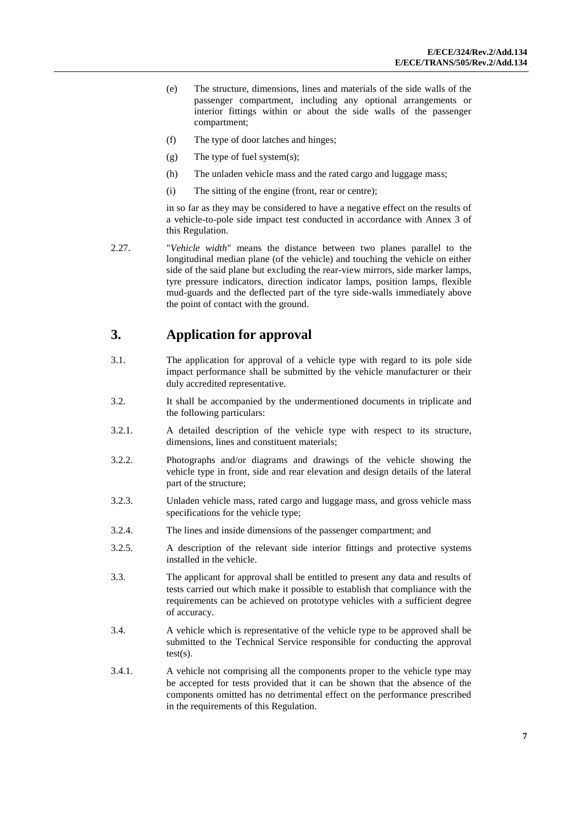- (e) The structure, dimensions, lines and materials of the side walls of the passenger compartment, including any optional arrangements or interior fittings within or about the side walls of the passenger compartment;
- (f) The type of door latches and hinges;
- (g) The type of fuel system(s);
- (h) The unladen vehicle mass and the rated cargo and luggage mass;
- (i) The sitting of the engine (front, rear or centre);

in so far as they may be considered to have a negative effect on the results of a vehicle-to-pole side impact test conducted in accordance with Annex 3 of this Regulation.

2.27. "*Vehicle width*" means the distance between two planes parallel to the longitudinal median plane (of the vehicle) and touching the vehicle on either side of the said plane but excluding the rear-view mirrors, side marker lamps, tyre pressure indicators, direction indicator lamps, position lamps, flexible mud-guards and the deflected part of the tyre side-walls immediately above the point of contact with the ground.

### <span id="page-6-0"></span>**3. Application for approval**

- 3.1. The application for approval of a vehicle type with regard to its pole side impact performance shall be submitted by the vehicle manufacturer or their duly accredited representative.
- 3.2. It shall be accompanied by the undermentioned documents in triplicate and the following particulars:
- 3.2.1. A detailed description of the vehicle type with respect to its structure, dimensions, lines and constituent materials;
- 3.2.2. Photographs and/or diagrams and drawings of the vehicle showing the vehicle type in front, side and rear elevation and design details of the lateral part of the structure;
- 3.2.3. Unladen vehicle mass, rated cargo and luggage mass, and gross vehicle mass specifications for the vehicle type;
- 3.2.4. The lines and inside dimensions of the passenger compartment; and
- 3.2.5. A description of the relevant side interior fittings and protective systems installed in the vehicle.
- 3.3. The applicant for approval shall be entitled to present any data and results of tests carried out which make it possible to establish that compliance with the requirements can be achieved on prototype vehicles with a sufficient degree of accuracy.
- 3.4. A vehicle which is representative of the vehicle type to be approved shall be submitted to the Technical Service responsible for conducting the approval test(s).
- 3.4.1. A vehicle not comprising all the components proper to the vehicle type may be accepted for tests provided that it can be shown that the absence of the components omitted has no detrimental effect on the performance prescribed in the requirements of this Regulation.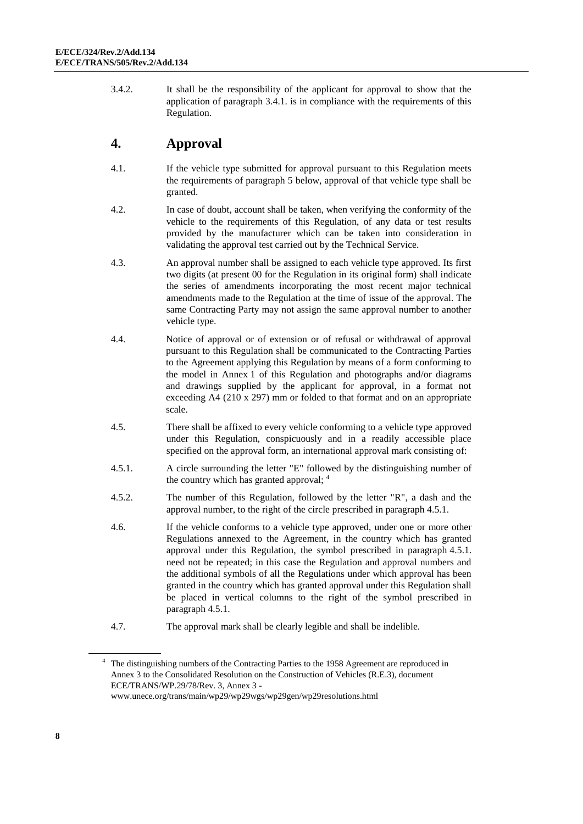3.4.2. It shall be the responsibility of the applicant for approval to show that the application of paragraph 3.4.1. is in compliance with the requirements of this Regulation.

## <span id="page-7-0"></span>**4. Approval**

- 4.1. If the vehicle type submitted for approval pursuant to this Regulation meets the requirements of paragraph 5 below, approval of that vehicle type shall be granted.
- 4.2. In case of doubt, account shall be taken, when verifying the conformity of the vehicle to the requirements of this Regulation, of any data or test results provided by the manufacturer which can be taken into consideration in validating the approval test carried out by the Technical Service.
- 4.3. An approval number shall be assigned to each vehicle type approved. Its first two digits (at present 00 for the Regulation in its original form) shall indicate the series of amendments incorporating the most recent major technical amendments made to the Regulation at the time of issue of the approval. The same Contracting Party may not assign the same approval number to another vehicle type.
- 4.4. Notice of approval or of extension or of refusal or withdrawal of approval pursuant to this Regulation shall be communicated to the Contracting Parties to the Agreement applying this Regulation by means of a form conforming to the model in Annex 1 of this Regulation and photographs and/or diagrams and drawings supplied by the applicant for approval, in a format not exceeding A4 (210 x 297) mm or folded to that format and on an appropriate scale.
- 4.5. There shall be affixed to every vehicle conforming to a vehicle type approved under this Regulation, conspicuously and in a readily accessible place specified on the approval form, an international approval mark consisting of:
- 4.5.1. A circle surrounding the letter "E" followed by the distinguishing number of the country which has granted approval; 4
- 4.5.2. The number of this Regulation, followed by the letter "R", a dash and the approval number, to the right of the circle prescribed in paragraph 4.5.1.
- 4.6. If the vehicle conforms to a vehicle type approved, under one or more other Regulations annexed to the Agreement, in the country which has granted approval under this Regulation, the symbol prescribed in paragraph 4.5.1. need not be repeated; in this case the Regulation and approval numbers and the additional symbols of all the Regulations under which approval has been granted in the country which has granted approval under this Regulation shall be placed in vertical columns to the right of the symbol prescribed in paragraph 4.5.1.
- 4.7. The approval mark shall be clearly legible and shall be indelible.

<sup>&</sup>lt;sup>4</sup> The distinguishing numbers of the Contracting Parties to the 1958 Agreement are reproduced in Annex 3 to the Consolidated Resolution on the Construction of Vehicles (R.E.3), document ECE/TRANS/WP.29/78/Rev. 3, Annex 3 [www.unece.org/trans/main/wp29/wp29wgs/wp29gen/wp29resolutions.html](http://www.unece.org/trans/main/wp29/wp29wgs/wp29gen/wp29resolutions.html)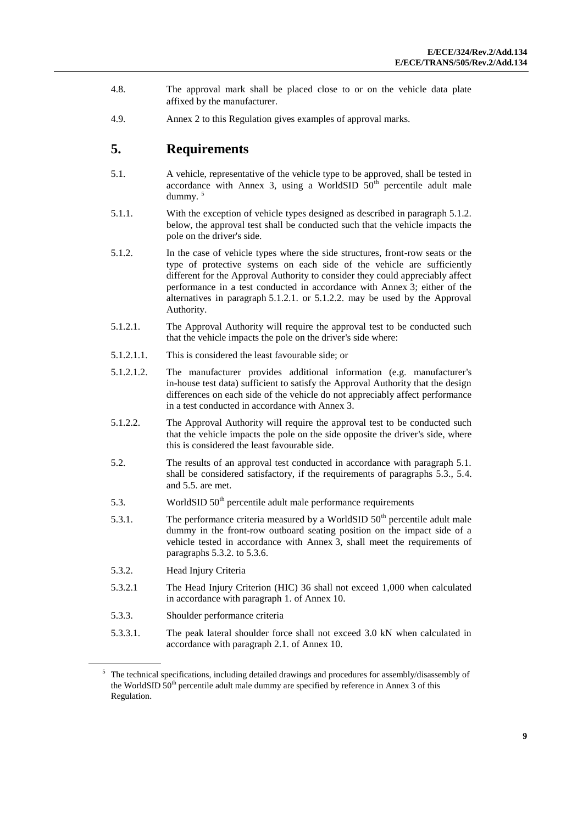- 4.8. The approval mark shall be placed close to or on the vehicle data plate affixed by the manufacturer.
- 4.9. Annex 2 to this Regulation gives examples of approval marks.

#### <span id="page-8-0"></span>**5. Requirements**

- 5.1. A vehicle, representative of the vehicle type to be approved, shall be tested in accordance with Annex 3, using a WorldSID  $50<sup>th</sup>$  percentile adult male dummy. <sup>5</sup>
- 5.1.1. With the exception of vehicle types designed as described in paragraph 5.1.2. below, the approval test shall be conducted such that the vehicle impacts the pole on the driver's side.
- 5.1.2. In the case of vehicle types where the side structures, front-row seats or the type of protective systems on each side of the vehicle are sufficiently different for the Approval Authority to consider they could appreciably affect performance in a test conducted in accordance with Annex 3; either of the alternatives in paragraph 5.1.2.1. or 5.1.2.2. may be used by the Approval Authority.
- 5.1.2.1. The Approval Authority will require the approval test to be conducted such that the vehicle impacts the pole on the driver's side where:
- 5.1.2.1.1. This is considered the least favourable side; or
- 5.1.2.1.2. The manufacturer provides additional information (e.g. manufacturer's in-house test data) sufficient to satisfy the Approval Authority that the design differences on each side of the vehicle do not appreciably affect performance in a test conducted in accordance with Annex 3.
- 5.1.2.2. The Approval Authority will require the approval test to be conducted such that the vehicle impacts the pole on the side opposite the driver's side, where this is considered the least favourable side.
- 5.2. The results of an approval test conducted in accordance with paragraph 5.1. shall be considered satisfactory, if the requirements of paragraphs 5.3., 5.4. and 5.5. are met.
- 5.3. WorldSID  $50<sup>th</sup>$  percentile adult male performance requirements
- 5.3.1. The performance criteria measured by a WorldSID  $50<sup>th</sup>$  percentile adult male dummy in the front-row outboard seating position on the impact side of a vehicle tested in accordance with Annex 3, shall meet the requirements of paragraphs 5.3.2. to 5.3.6.
- 5.3.2. Head Injury Criteria
- 5.3.2.1 The Head Injury Criterion (HIC) 36 shall not exceed 1,000 when calculated in accordance with paragraph 1. of Annex 10.
- 5.3.3. Shoulder performance criteria
- 5.3.3.1. The peak lateral shoulder force shall not exceed 3.0 kN when calculated in accordance with paragraph 2.1. of Annex 10.

<sup>5</sup> The technical specifications, including detailed drawings and procedures for assembly/disassembly of the WorldSID  $50<sup>th</sup>$  percentile adult male dummy are specified by reference in Annex 3 of this Regulation.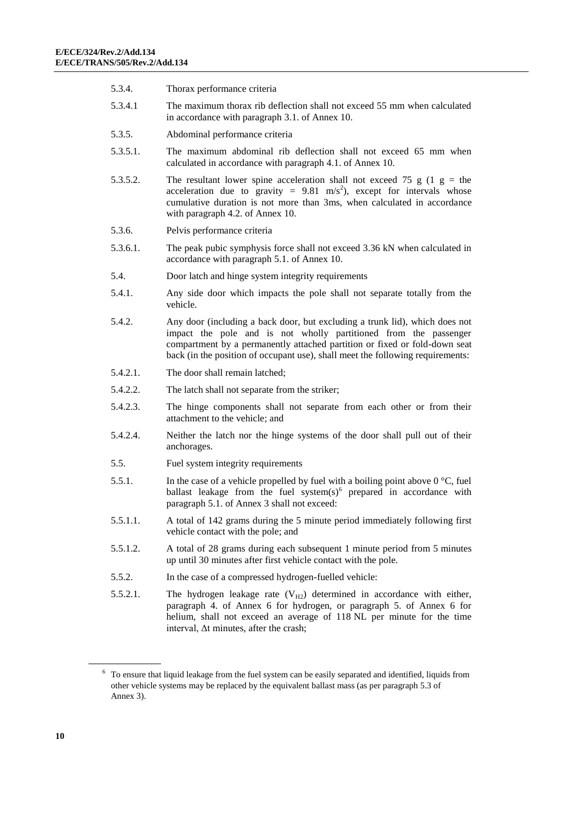- 5.3.4. Thorax performance criteria
- 5.3.4.1 The maximum thorax rib deflection shall not exceed 55 mm when calculated in accordance with paragraph 3.1. of Annex 10.
- 5.3.5. Abdominal performance criteria
- 5.3.5.1. The maximum abdominal rib deflection shall not exceed 65 mm when calculated in accordance with paragraph 4.1. of Annex 10.
- 5.3.5.2. The resultant lower spine acceleration shall not exceed 75 g (1 g = the acceleration due to gravity =  $9.81 \text{ m/s}^2$ ), except for intervals whose cumulative duration is not more than 3ms, when calculated in accordance with paragraph 4.2. of Annex 10.
- 5.3.6. Pelvis performance criteria
- 5.3.6.1. The peak pubic symphysis force shall not exceed 3.36 kN when calculated in accordance with paragraph 5.1. of Annex 10.
- 5.4. Door latch and hinge system integrity requirements
- 5.4.1. Any side door which impacts the pole shall not separate totally from the vehicle.
- 5.4.2. Any door (including a back door, but excluding a trunk lid), which does not impact the pole and is not wholly partitioned from the passenger compartment by a permanently attached partition or fixed or fold-down seat back (in the position of occupant use), shall meet the following requirements:
- 5.4.2.1. The door shall remain latched;
- 5.4.2.2. The latch shall not separate from the striker;
- 5.4.2.3. The hinge components shall not separate from each other or from their attachment to the vehicle; and
- 5.4.2.4. Neither the latch nor the hinge systems of the door shall pull out of their anchorages.
- 5.5. Fuel system integrity requirements
- 5.5.1. In the case of a vehicle propelled by fuel with a boiling point above  $0^{\circ}$ C, fuel ballast leakage from the fuel system $(s)$ <sup>6</sup> prepared in accordance with paragraph 5.1. of Annex 3 shall not exceed:
- 5.5.1.1. A total of 142 grams during the 5 minute period immediately following first vehicle contact with the pole; and
- 5.5.1.2. A total of 28 grams during each subsequent 1 minute period from 5 minutes up until 30 minutes after first vehicle contact with the pole.
- 5.5.2. In the case of a compressed hydrogen-fuelled vehicle:
- 5.5.2.1. The hydrogen leakage rate  $(V_{H2})$  determined in accordance with either, paragraph 4. of Annex 6 for hydrogen, or paragraph 5. of Annex 6 for helium, shall not exceed an average of 118 NL per minute for the time interval, Δt minutes, after the crash;

<sup>6</sup> To ensure that liquid leakage from the fuel system can be easily separated and identified, liquids from other vehicle systems may be replaced by the equivalent ballast mass (as per paragraph 5.3 of Annex 3).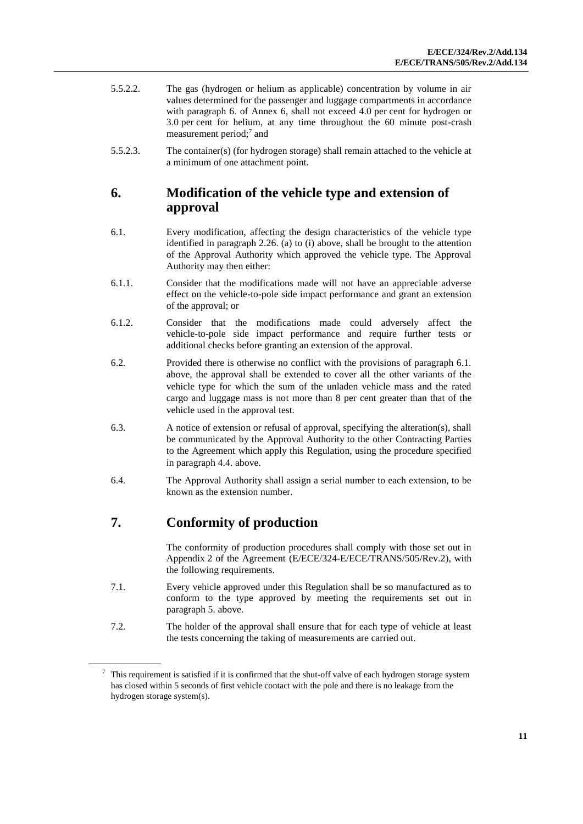- 5.5.2.2. The gas (hydrogen or helium as applicable) concentration by volume in air values determined for the passenger and luggage compartments in accordance with paragraph 6. of Annex 6, shall not exceed 4.0 per cent for hydrogen or 3.0 per cent for helium, at any time throughout the 60 minute post-crash measurement period;<sup>7</sup> and
- 5.5.2.3. The container(s) (for hydrogen storage) shall remain attached to the vehicle at a minimum of one attachment point.

### <span id="page-10-0"></span>**6. Modification of the vehicle type and extension of approval**

- 6.1. Every modification, affecting the design characteristics of the vehicle type identified in paragraph 2.26. (a) to (i) above, shall be brought to the attention of the Approval Authority which approved the vehicle type. The Approval Authority may then either:
- 6.1.1. Consider that the modifications made will not have an appreciable adverse effect on the vehicle-to-pole side impact performance and grant an extension of the approval; or
- 6.1.2. Consider that the modifications made could adversely affect the vehicle-to-pole side impact performance and require further tests or additional checks before granting an extension of the approval.
- 6.2. Provided there is otherwise no conflict with the provisions of paragraph 6.1. above, the approval shall be extended to cover all the other variants of the vehicle type for which the sum of the unladen vehicle mass and the rated cargo and luggage mass is not more than 8 per cent greater than that of the vehicle used in the approval test.
- 6.3. A notice of extension or refusal of approval, specifying the alteration(s), shall be communicated by the Approval Authority to the other Contracting Parties to the Agreement which apply this Regulation, using the procedure specified in paragraph 4.4. above.
- 6.4. The Approval Authority shall assign a serial number to each extension, to be known as the extension number.

## <span id="page-10-1"></span>**7. Conformity of production**

The conformity of production procedures shall comply with those set out in Appendix 2 of the Agreement (E/ECE/324-E/ECE/TRANS/505/Rev.2), with the following requirements.

- 7.1. Every vehicle approved under this Regulation shall be so manufactured as to conform to the type approved by meeting the requirements set out in paragraph 5. above.
- 7.2. The holder of the approval shall ensure that for each type of vehicle at least the tests concerning the taking of measurements are carried out.

<sup>7</sup> This requirement is satisfied if it is confirmed that the shut-off valve of each hydrogen storage system has closed within 5 seconds of first vehicle contact with the pole and there is no leakage from the hydrogen storage system(s).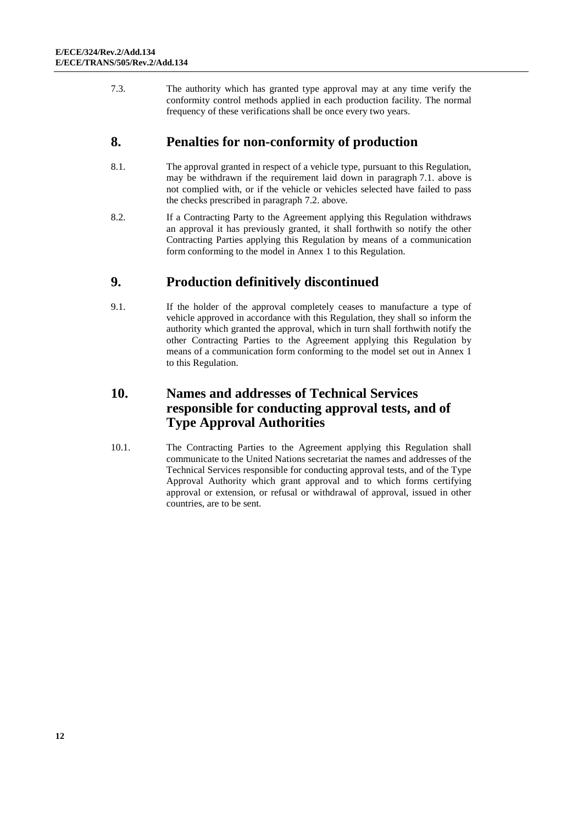7.3. The authority which has granted type approval may at any time verify the conformity control methods applied in each production facility. The normal frequency of these verifications shall be once every two years.

#### <span id="page-11-0"></span>**8. Penalties for non-conformity of production**

- 8.1. The approval granted in respect of a vehicle type, pursuant to this Regulation, may be withdrawn if the requirement laid down in paragraph 7.1. above is not complied with, or if the vehicle or vehicles selected have failed to pass the checks prescribed in paragraph 7.2. above.
- 8.2. If a Contracting Party to the Agreement applying this Regulation withdraws an approval it has previously granted, it shall forthwith so notify the other Contracting Parties applying this Regulation by means of a communication form conforming to the model in Annex 1 to this Regulation.

### <span id="page-11-1"></span>**9. Production definitively discontinued**

9.1. If the holder of the approval completely ceases to manufacture a type of vehicle approved in accordance with this Regulation, they shall so inform the authority which granted the approval, which in turn shall forthwith notify the other Contracting Parties to the Agreement applying this Regulation by means of a communication form conforming to the model set out in Annex 1 to this Regulation.

### <span id="page-11-2"></span>**10. Names and addresses of Technical Services responsible for conducting approval tests, and of Type Approval Authorities**

10.1. The Contracting Parties to the Agreement applying this Regulation shall communicate to the United Nations secretariat the names and addresses of the Technical Services responsible for conducting approval tests, and of the Type Approval Authority which grant approval and to which forms certifying approval or extension, or refusal or withdrawal of approval, issued in other countries, are to be sent.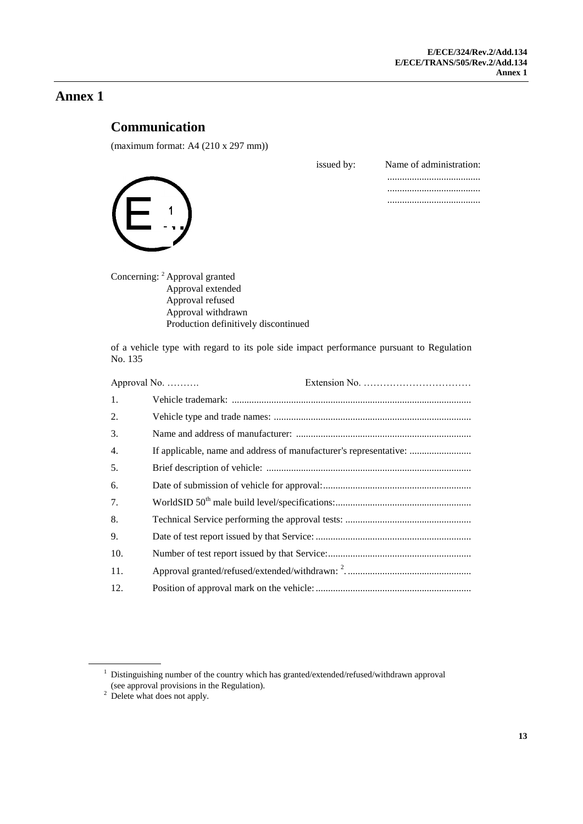## <span id="page-12-1"></span><span id="page-12-0"></span>**Communication**

(maximum format: A4 (210 x 297 mm))

1

| issued by: | Name of administration: |
|------------|-------------------------|
|            |                         |
|            |                         |
|            |                         |

Concerning: <sup>2</sup> Approval granted Approval extended Approval refused Approval withdrawn Production definitively discontinued

of a vehicle type with regard to its pole side impact performance pursuant to Regulation No. 135

|     | Approval No.                                                      |
|-----|-------------------------------------------------------------------|
| 1.  |                                                                   |
| 2.  |                                                                   |
| 3.  |                                                                   |
| 4.  | If applicable, name and address of manufacturer's representative: |
| 5.  |                                                                   |
| 6.  |                                                                   |
| 7.  |                                                                   |
| 8.  |                                                                   |
| 9.  |                                                                   |
| 10. |                                                                   |
| 11. |                                                                   |
| 12. |                                                                   |

 $^{\rm 1}$  Distinguishing number of the country which has granted/extended/refused/withdrawn approval (see approval provisions in the Regulation).

 $2$  Delete what does not apply.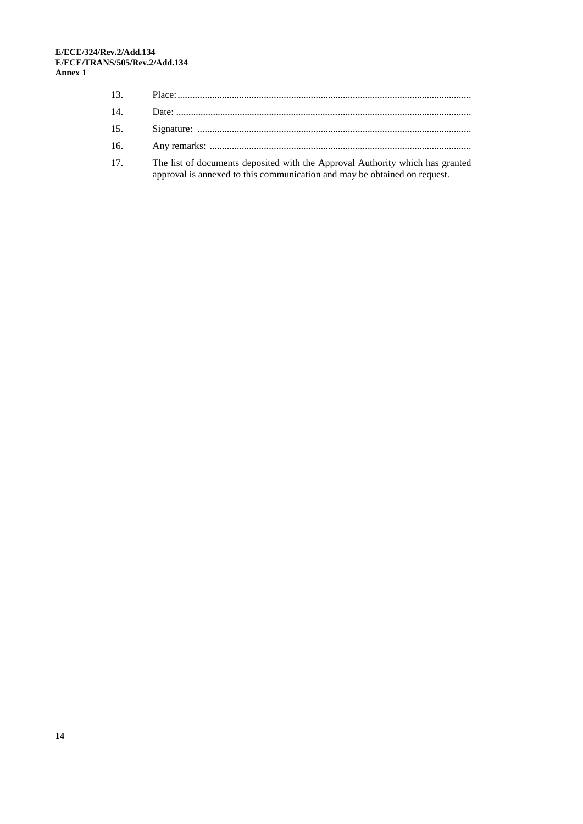| 13. |                                                                                                                                                            |
|-----|------------------------------------------------------------------------------------------------------------------------------------------------------------|
| 14. |                                                                                                                                                            |
| 15. |                                                                                                                                                            |
| 16. |                                                                                                                                                            |
| 17. | The list of documents deposited with the Approval Authority which has granted<br>approval is annexed to this communication and may be obtained on request. |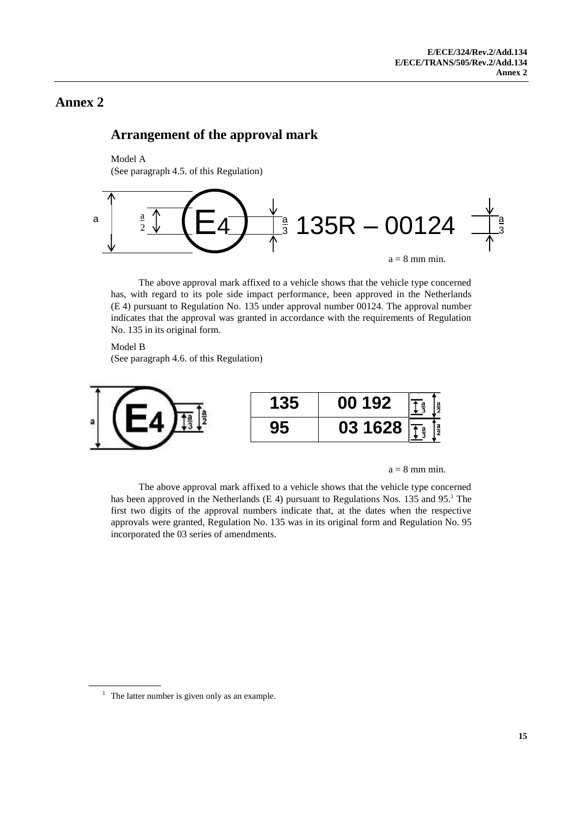#### <span id="page-14-1"></span><span id="page-14-0"></span>**Arrangement of the approval mark**

#### Model A

(See paragraph 4.5. of this Regulation)



The above approval mark affixed to a vehicle shows that the vehicle type concerned has, with regard to its pole side impact performance, been approved in the Netherlands (E 4) pursuant to Regulation No. 135 under approval number 00124. The approval number indicates that the approval was granted in accordance with the requirements of Regulation No. 135 in its original form.

Model B

(See paragraph 4.6. of this Regulation)



 $a = 8$  mm min.

The above approval mark affixed to a vehicle shows that the vehicle type concerned has been approved in the Netherlands (E 4) pursuant to Regulations Nos. 135 and 95.<sup>1</sup> The first two digits of the approval numbers indicate that, at the dates when the respective approvals were granted, Regulation No. 135 was in its original form and Regulation No. 95 incorporated the 03 series of amendments.

 $<sup>1</sup>$  The latter number is given only as an example.</sup>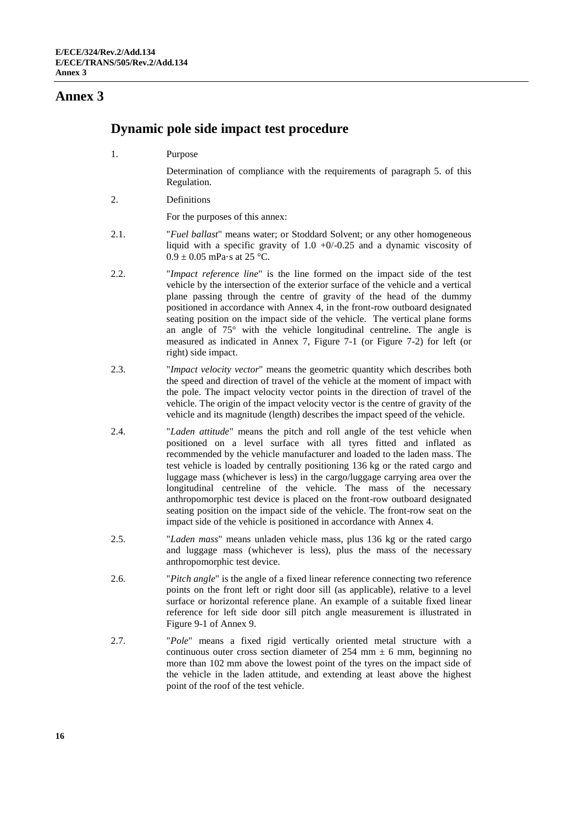#### <span id="page-15-0"></span>**Dynamic pole side impact test procedure**

1. Purpose

Determination of compliance with the requirements of paragraph 5. of this Regulation.

2. Definitions

For the purposes of this annex:

- 2.1. "*Fuel ballast*" means water; or Stoddard Solvent; or any other homogeneous liquid with a specific gravity of  $1.0 + 0/-0.25$  and a dynamic viscosity of  $0.9 \pm 0.05$  mPa·s at 25 °C.
- 2.2. "*Impact reference line*" is the line formed on the impact side of the test vehicle by the intersection of the exterior surface of the vehicle and a vertical plane passing through the centre of gravity of the head of the dummy positioned in accordance with Annex 4, in the front-row outboard designated seating position on the impact side of the vehicle. The vertical plane forms an angle of 75° with the vehicle longitudinal centreline. The angle is measured as indicated in Annex 7, Figure 7-1 (or Figure 7-2) for left (or right) side impact.
- 2.3. "*Impact velocity vector*" means the geometric quantity which describes both the speed and direction of travel of the vehicle at the moment of impact with the pole. The impact velocity vector points in the direction of travel of the vehicle. The origin of the impact velocity vector is the centre of gravity of the vehicle and its magnitude (length) describes the impact speed of the vehicle.
- 2.4. "*Laden attitude*" means the pitch and roll angle of the test vehicle when positioned on a level surface with all tyres fitted and inflated as recommended by the vehicle manufacturer and loaded to the laden mass. The test vehicle is loaded by centrally positioning 136 kg or the rated cargo and luggage mass (whichever is less) in the cargo/luggage carrying area over the longitudinal centreline of the vehicle. The mass of the necessary anthropomorphic test device is placed on the front-row outboard designated seating position on the impact side of the vehicle. The front-row seat on the impact side of the vehicle is positioned in accordance with Annex 4.
- 2.5. "*Laden mass*" means unladen vehicle mass, plus 136 kg or the rated cargo and luggage mass (whichever is less), plus the mass of the necessary anthropomorphic test device.
- 2.6. "*Pitch angle*" is the angle of a fixed linear reference connecting two reference points on the front left or right door sill (as applicable), relative to a level surface or horizontal reference plane. An example of a suitable fixed linear reference for left side door sill pitch angle measurement is illustrated in Figure 9-1 of Annex 9.
- 2.7. "*Pole*" means a fixed rigid vertically oriented metal structure with a continuous outer cross section diameter of 254 mm  $\pm$  6 mm, beginning no more than 102 mm above the lowest point of the tyres on the impact side of the vehicle in the laden attitude, and extending at least above the highest point of the roof of the test vehicle.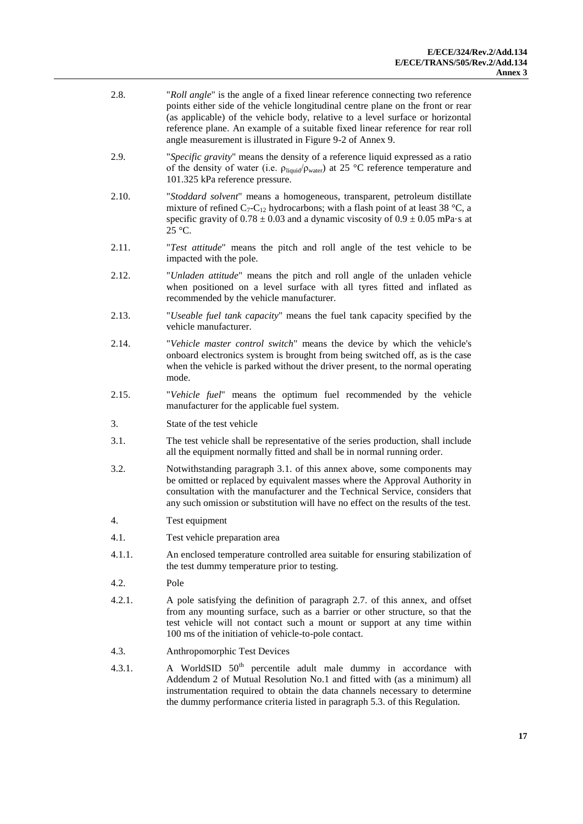- 2.8. "*Roll angle*" is the angle of a fixed linear reference connecting two reference points either side of the vehicle longitudinal centre plane on the front or rear (as applicable) of the vehicle body, relative to a level surface or horizontal reference plane. An example of a suitable fixed linear reference for rear roll angle measurement is illustrated in Figure 9-2 of Annex 9.
- 2.9. "*Specific gravity*" means the density of a reference liquid expressed as a ratio of the density of water (i.e.  $\rho_{liquid}/\rho_{water}$ ) at 25 °C reference temperature and 101.325 kPa reference pressure.
- 2.10. "*Stoddard solvent*" means a homogeneous, transparent, petroleum distillate mixture of refined  $C_7-C_{12}$  hydrocarbons; with a flash point of at least 38 °C, a specific gravity of  $0.78 \pm 0.03$  and a dynamic viscosity of  $0.9 \pm 0.05$  mPa·s at 25 °C.
- 2.11. "*Test attitude*" means the pitch and roll angle of the test vehicle to be impacted with the pole.
- 2.12. "*Unladen attitude*" means the pitch and roll angle of the unladen vehicle when positioned on a level surface with all tyres fitted and inflated as recommended by the vehicle manufacturer.
- 2.13. "*Useable fuel tank capacity*" means the fuel tank capacity specified by the vehicle manufacturer.
- 2.14. "*Vehicle master control switch*" means the device by which the vehicle's onboard electronics system is brought from being switched off, as is the case when the vehicle is parked without the driver present, to the normal operating mode.
- 2.15. "*Vehicle fuel*" means the optimum fuel recommended by the vehicle manufacturer for the applicable fuel system.
- 3. State of the test vehicle
- 3.1. The test vehicle shall be representative of the series production, shall include all the equipment normally fitted and shall be in normal running order.
- 3.2. Notwithstanding paragraph 3.1. of this annex above, some components may be omitted or replaced by equivalent masses where the Approval Authority in consultation with the manufacturer and the Technical Service, considers that any such omission or substitution will have no effect on the results of the test.
- 4. Test equipment
- 4.1. Test vehicle preparation area
- 4.1.1. An enclosed temperature controlled area suitable for ensuring stabilization of the test dummy temperature prior to testing.
- 4.2. Pole
- 4.2.1. A pole satisfying the definition of paragraph 2.7. of this annex, and offset from any mounting surface, such as a barrier or other structure, so that the test vehicle will not contact such a mount or support at any time within 100 ms of the initiation of vehicle-to-pole contact.
- 4.3. Anthropomorphic Test Devices
- 4.3.1. A WorldSID  $50<sup>th</sup>$  percentile adult male dummy in accordance with Addendum 2 of Mutual Resolution No.1 and fitted with (as a minimum) all instrumentation required to obtain the data channels necessary to determine the dummy performance criteria listed in paragraph 5.3. of this Regulation.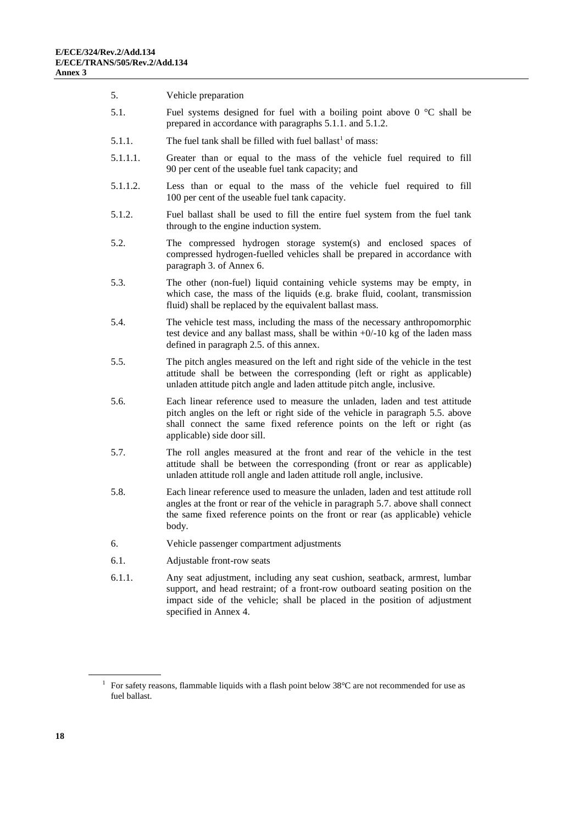5. Vehicle preparation 5.1. Fuel systems designed for fuel with a boiling point above  $0^{\circ}C$  shall be prepared in accordance with paragraphs 5.1.1. and 5.1.2. 5.1.1. The fuel tank shall be filled with fuel ballast<sup>1</sup> of mass: 5.1.1.1. Greater than or equal to the mass of the vehicle fuel required to fill 90 per cent of the useable fuel tank capacity; and 5.1.1.2. Less than or equal to the mass of the vehicle fuel required to fill 100 per cent of the useable fuel tank capacity. 5.1.2. Fuel ballast shall be used to fill the entire fuel system from the fuel tank through to the engine induction system. 5.2. The compressed hydrogen storage system(s) and enclosed spaces of compressed hydrogen-fuelled vehicles shall be prepared in accordance with paragraph 3. of Annex 6. 5.3. The other (non-fuel) liquid containing vehicle systems may be empty, in which case, the mass of the liquids (e.g. brake fluid, coolant, transmission fluid) shall be replaced by the equivalent ballast mass. 5.4. The vehicle test mass, including the mass of the necessary anthropomorphic test device and any ballast mass, shall be within  $+0/-10$  kg of the laden mass defined in paragraph 2.5. of this annex. 5.5. The pitch angles measured on the left and right side of the vehicle in the test attitude shall be between the corresponding (left or right as applicable) unladen attitude pitch angle and laden attitude pitch angle, inclusive. 5.6. Each linear reference used to measure the unladen, laden and test attitude pitch angles on the left or right side of the vehicle in paragraph 5.5. above shall connect the same fixed reference points on the left or right (as applicable) side door sill. 5.7. The roll angles measured at the front and rear of the vehicle in the test attitude shall be between the corresponding (front or rear as applicable) unladen attitude roll angle and laden attitude roll angle, inclusive. 5.8. Each linear reference used to measure the unladen, laden and test attitude roll angles at the front or rear of the vehicle in paragraph 5.7. above shall connect the same fixed reference points on the front or rear (as applicable) vehicle body. 6. Vehicle passenger compartment adjustments 6.1. Adjustable front-row seats 6.1.1. Any seat adjustment, including any seat cushion, seatback, armrest, lumbar support, and head restraint; of a front-row outboard seating position on the impact side of the vehicle; shall be placed in the position of adjustment specified in Annex 4.

<sup>&</sup>lt;sup>1</sup> For safety reasons, flammable liquids with a flash point below 38°C are not recommended for use as fuel ballast.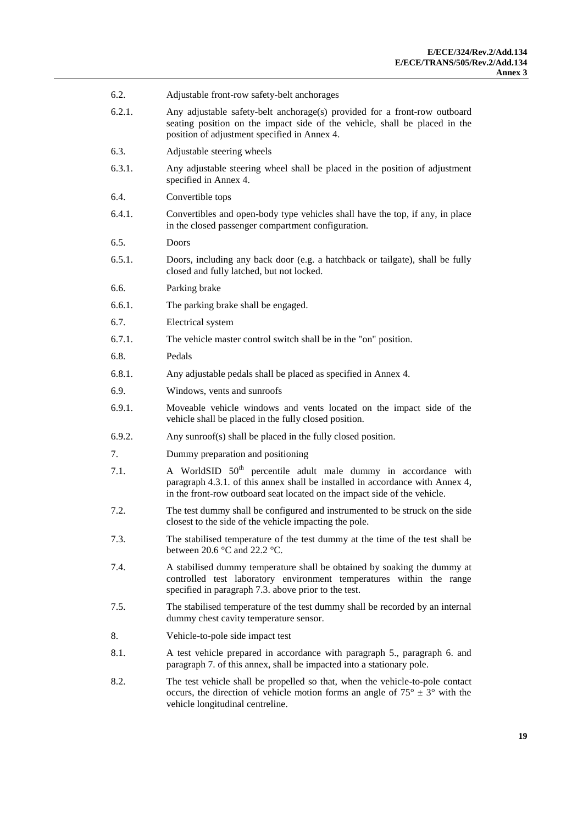| 6.2.   | Adjustable front-row safety-belt anchorages                                                                                                                                                                                              |
|--------|------------------------------------------------------------------------------------------------------------------------------------------------------------------------------------------------------------------------------------------|
| 6.2.1. | Any adjustable safety-belt anchorage(s) provided for a front-row outboard<br>seating position on the impact side of the vehicle, shall be placed in the<br>position of adjustment specified in Annex 4.                                  |
| 6.3.   | Adjustable steering wheels                                                                                                                                                                                                               |
| 6.3.1. | Any adjustable steering wheel shall be placed in the position of adjustment<br>specified in Annex 4.                                                                                                                                     |
| 6.4.   | Convertible tops                                                                                                                                                                                                                         |
| 6.4.1. | Convertibles and open-body type vehicles shall have the top, if any, in place<br>in the closed passenger compartment configuration.                                                                                                      |
| 6.5.   | Doors                                                                                                                                                                                                                                    |
| 6.5.1. | Doors, including any back door (e.g. a hatchback or tailgate), shall be fully<br>closed and fully latched, but not locked.                                                                                                               |
| 6.6.   | Parking brake                                                                                                                                                                                                                            |
| 6.6.1. | The parking brake shall be engaged.                                                                                                                                                                                                      |
| 6.7.   | Electrical system                                                                                                                                                                                                                        |
| 6.7.1. | The vehicle master control switch shall be in the "on" position.                                                                                                                                                                         |
| 6.8.   | Pedals                                                                                                                                                                                                                                   |
| 6.8.1. | Any adjustable pedals shall be placed as specified in Annex 4.                                                                                                                                                                           |
| 6.9.   | Windows, vents and sunroofs                                                                                                                                                                                                              |
| 6.9.1. | Moveable vehicle windows and vents located on the impact side of the<br>vehicle shall be placed in the fully closed position.                                                                                                            |
| 6.9.2. | Any sunroof(s) shall be placed in the fully closed position.                                                                                                                                                                             |
| 7.     | Dummy preparation and positioning                                                                                                                                                                                                        |
| 7.1.   | A WorldSID 50 <sup>th</sup> percentile adult male dummy in accordance with<br>paragraph 4.3.1. of this annex shall be installed in accordance with Annex 4,<br>in the front-row outboard seat located on the impact side of the vehicle. |
| 7.2.   | The test dummy shall be configured and instrumented to be struck on the side<br>closest to the side of the vehicle impacting the pole.                                                                                                   |
| 7.3.   | The stabilised temperature of the test dummy at the time of the test shall be<br>between 20.6 $\degree$ C and 22.2 $\degree$ C.                                                                                                          |
| 7.4.   | A stabilised dummy temperature shall be obtained by soaking the dummy at<br>controlled test laboratory environment temperatures within the range<br>specified in paragraph 7.3. above prior to the test.                                 |
| 7.5.   | The stabilised temperature of the test dummy shall be recorded by an internal<br>dummy chest cavity temperature sensor.                                                                                                                  |
| 8.     | Vehicle-to-pole side impact test                                                                                                                                                                                                         |
| 8.1.   | A test vehicle prepared in accordance with paragraph 5., paragraph 6. and<br>paragraph 7. of this annex, shall be impacted into a stationary pole.                                                                                       |
| 8.2.   | The test vehicle shall be propelled so that, when the vehicle-to-pole contact<br>occurs, the direction of vehicle motion forms an angle of $75^{\circ} \pm 3^{\circ}$ with the<br>vehicle longitudinal centreline.                       |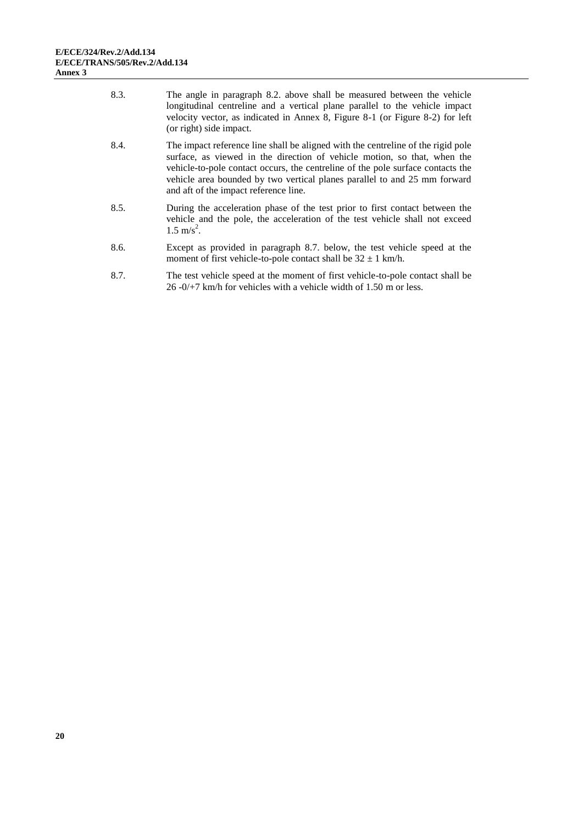| 8.3. | The angle in paragraph 8.2. above shall be measured between the vehicle<br>longitudinal centreline and a vertical plane parallel to the vehicle impact<br>velocity vector, as indicated in Annex 8, Figure 8-1 (or Figure 8-2) for left<br>(or right) side impact.                                                                                                    |
|------|-----------------------------------------------------------------------------------------------------------------------------------------------------------------------------------------------------------------------------------------------------------------------------------------------------------------------------------------------------------------------|
| 8.4. | The impact reference line shall be aligned with the centreline of the rigid pole<br>surface, as viewed in the direction of vehicle motion, so that, when the<br>vehicle-to-pole contact occurs, the centreline of the pole surface contacts the<br>vehicle area bounded by two vertical planes parallel to and 25 mm forward<br>and aft of the impact reference line. |
| 8.5. | During the acceleration phase of the test prior to first contact between the<br>vehicle and the pole, the acceleration of the test vehicle shall not exceed<br>$1.5 \text{ m/s}^2$ .                                                                                                                                                                                  |
| 8.6. | Except as provided in paragraph 8.7, below, the test vehicle speed at the<br>moment of first vehicle-to-pole contact shall be $32 \pm 1$ km/h.                                                                                                                                                                                                                        |
| 8.7. | The test vehicle speed at the moment of first vehicle-to-pole contact shall be<br>$26 - 0/17$ km/h for vehicles with a vehicle width of 1.50 m or less.                                                                                                                                                                                                               |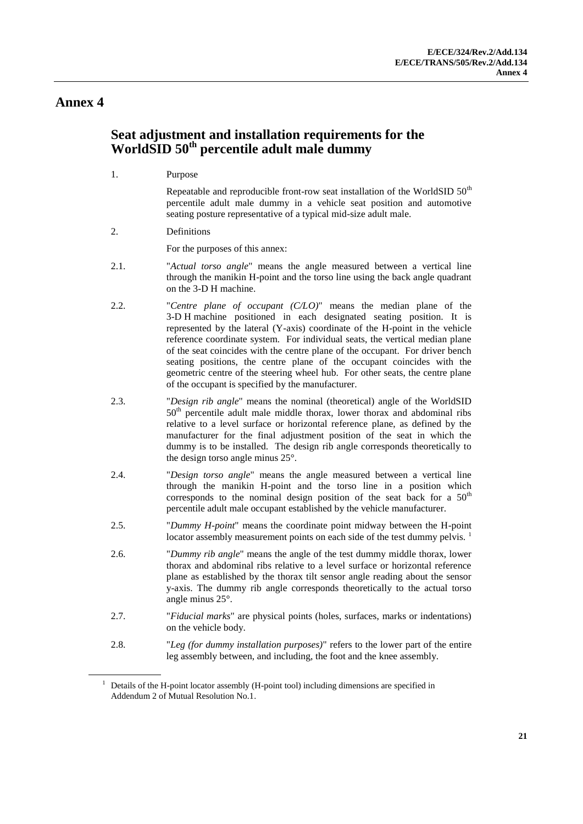### <span id="page-20-0"></span>**Seat adjustment and installation requirements for the WorldSID 50th percentile adult male dummy**

1. Purpose

Repeatable and reproducible front-row seat installation of the WorldSID  $50<sup>th</sup>$ percentile adult male dummy in a vehicle seat position and automotive seating posture representative of a typical mid-size adult male.

2. Definitions

For the purposes of this annex:

- 2.1. "*Actual torso angle*" means the angle measured between a vertical line through the manikin H-point and the torso line using the back angle quadrant on the 3-D H machine.
- 2.2. "*Centre plane of occupant (C/LO)*" means the median plane of the 3-D H machine positioned in each designated seating position. It is represented by the lateral (Y-axis) coordinate of the H-point in the vehicle reference coordinate system. For individual seats, the vertical median plane of the seat coincides with the centre plane of the occupant. For driver bench seating positions, the centre plane of the occupant coincides with the geometric centre of the steering wheel hub. For other seats, the centre plane of the occupant is specified by the manufacturer.
- 2.3. "*Design rib angle*" means the nominal (theoretical) angle of the WorldSID 50<sup>th</sup> percentile adult male middle thorax, lower thorax and abdominal ribs relative to a level surface or horizontal reference plane, as defined by the manufacturer for the final adjustment position of the seat in which the dummy is to be installed. The design rib angle corresponds theoretically to the design torso angle minus 25°.
- 2.4. "*Design torso angle*" means the angle measured between a vertical line through the manikin H-point and the torso line in a position which corresponds to the nominal design position of the seat back for a  $50<sup>th</sup>$ percentile adult male occupant established by the vehicle manufacturer.
- 2.5. "*Dummy H-point*" means the coordinate point midway between the H-point locator assembly measurement points on each side of the test dummy pelvis.<sup>1</sup>
- 2.6. "*Dummy rib angle*" means the angle of the test dummy middle thorax, lower thorax and abdominal ribs relative to a level surface or horizontal reference plane as established by the thorax tilt sensor angle reading about the sensor y-axis. The dummy rib angle corresponds theoretically to the actual torso angle minus 25°.
- 2.7. "*Fiducial marks*" are physical points (holes, surfaces, marks or indentations) on the vehicle body.
- 2.8. "*Leg (for dummy installation purposes)*" refers to the lower part of the entire leg assembly between, and including, the foot and the knee assembly.

<sup>&</sup>lt;sup>1</sup> Details of the H-point locator assembly (H-point tool) including dimensions are specified in Addendum 2 of Mutual Resolution No.1.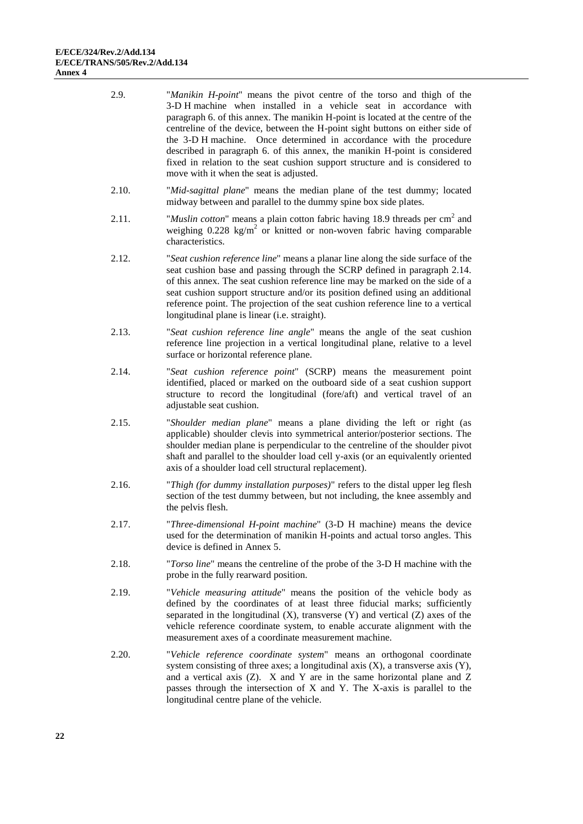| 2.9.  | "Manikin H-point" means the pivot centre of the torso and thigh of the<br>3-D H machine when installed in a vehicle seat in accordance with<br>paragraph 6. of this annex. The manikin H-point is located at the centre of the<br>centreline of the device, between the H-point sight buttons on either side of<br>the 3-D H machine. Once determined in accordance with the procedure<br>described in paragraph 6. of this annex, the manikin H-point is considered<br>fixed in relation to the seat cushion support structure and is considered to<br>move with it when the seat is adjusted. |
|-------|-------------------------------------------------------------------------------------------------------------------------------------------------------------------------------------------------------------------------------------------------------------------------------------------------------------------------------------------------------------------------------------------------------------------------------------------------------------------------------------------------------------------------------------------------------------------------------------------------|
| 2.10. | "Mid-sagittal plane" means the median plane of the test dummy; located<br>midway between and parallel to the dummy spine box side plates.                                                                                                                                                                                                                                                                                                                                                                                                                                                       |
| 2.11. | "Muslin cotton" means a plain cotton fabric having 18.9 threads per cm <sup>2</sup> and<br>weighing $0.228 \text{ kg/m}^2$ or knitted or non-woven fabric having comparable<br>characteristics.                                                                                                                                                                                                                                                                                                                                                                                                 |
| 2.12. | "Seat cushion reference line" means a planar line along the side surface of the<br>seat cushion base and passing through the SCRP defined in paragraph 2.14.<br>of this annex. The seat cushion reference line may be marked on the side of a<br>seat cushion support structure and/or its position defined using an additional<br>reference point. The projection of the seat cushion reference line to a vertical<br>longitudinal plane is linear (i.e. straight).                                                                                                                            |
| 2.13. | "Seat cushion reference line angle" means the angle of the seat cushion<br>reference line projection in a vertical longitudinal plane, relative to a level<br>surface or horizontal reference plane.                                                                                                                                                                                                                                                                                                                                                                                            |
| 2.14. | "Seat cushion reference point" (SCRP) means the measurement point<br>identified, placed or marked on the outboard side of a seat cushion support<br>structure to record the longitudinal (fore/aft) and vertical travel of an<br>adjustable seat cushion.                                                                                                                                                                                                                                                                                                                                       |
| 2.15. | "Shoulder median plane" means a plane dividing the left or right (as<br>applicable) shoulder clevis into symmetrical anterior/posterior sections. The<br>shoulder median plane is perpendicular to the centreline of the shoulder pivot<br>shaft and parallel to the shoulder load cell y-axis (or an equivalently oriented<br>axis of a shoulder load cell structural replacement).                                                                                                                                                                                                            |
| 2.16. | "Thigh (for dummy installation purposes)" refers to the distal upper leg flesh<br>section of the test dummy between, but not including, the knee assembly and<br>the pelvis flesh.                                                                                                                                                                                                                                                                                                                                                                                                              |
| 2.17. | "Three-dimensional H-point machine" (3-D H machine) means the device<br>used for the determination of manikin H-points and actual torso angles. This<br>device is defined in Annex 5.                                                                                                                                                                                                                                                                                                                                                                                                           |
| 2.18. | "Torso line" means the centreline of the probe of the 3-D H machine with the<br>probe in the fully rearward position.                                                                                                                                                                                                                                                                                                                                                                                                                                                                           |
| 2.19. | "Vehicle measuring attitude" means the position of the vehicle body as<br>defined by the coordinates of at least three fiducial marks; sufficiently<br>separated in the longitudinal $(X)$ , transverse $(Y)$ and vertical $(Z)$ axes of the<br>vehicle reference coordinate system, to enable accurate alignment with the<br>measurement axes of a coordinate measurement machine.                                                                                                                                                                                                             |
| 2.20. | "Vehicle reference coordinate system" means an orthogonal coordinate<br>system consisting of three axes; a longitudinal axis $(X)$ , a transverse axis $(Y)$ ,<br>and a vertical axis $(Z)$ . X and Y are in the same horizontal plane and Z<br>passes through the intersection of X and Y. The X-axis is parallel to the<br>longitudinal centre plane of the vehicle.                                                                                                                                                                                                                          |
|       |                                                                                                                                                                                                                                                                                                                                                                                                                                                                                                                                                                                                 |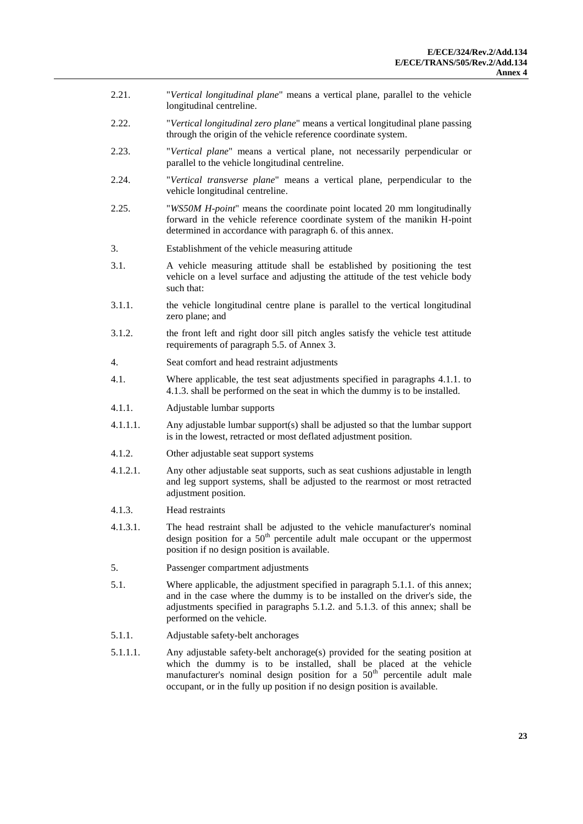- 2.21. "*Vertical longitudinal plane*" means a vertical plane, parallel to the vehicle longitudinal centreline.
- 2.22. "*Vertical longitudinal zero plane*" means a vertical longitudinal plane passing through the origin of the vehicle reference coordinate system.
- 2.23. "*Vertical plane*" means a vertical plane, not necessarily perpendicular or parallel to the vehicle longitudinal centreline.
- 2.24. "*Vertical transverse plane*" means a vertical plane, perpendicular to the vehicle longitudinal centreline.
- 2.25. "*WS50M H-point*" means the coordinate point located 20 mm longitudinally forward in the vehicle reference coordinate system of the manikin H-point determined in accordance with paragraph 6. of this annex.
- 3. Establishment of the vehicle measuring attitude
- 3.1. A vehicle measuring attitude shall be established by positioning the test vehicle on a level surface and adjusting the attitude of the test vehicle body such that:
- 3.1.1. the vehicle longitudinal centre plane is parallel to the vertical longitudinal zero plane; and
- 3.1.2. the front left and right door sill pitch angles satisfy the vehicle test attitude requirements of paragraph 5.5. of Annex 3.
- 4. Seat comfort and head restraint adjustments
- 4.1. Where applicable, the test seat adjustments specified in paragraphs 4.1.1. to 4.1.3. shall be performed on the seat in which the dummy is to be installed.
- 4.1.1. Adjustable lumbar supports
- 4.1.1.1. Any adjustable lumbar support(s) shall be adjusted so that the lumbar support is in the lowest, retracted or most deflated adjustment position.
- 4.1.2. Other adjustable seat support systems
- 4.1.2.1. Any other adjustable seat supports, such as seat cushions adjustable in length and leg support systems, shall be adjusted to the rearmost or most retracted adjustment position.
- 4.1.3. Head restraints
- 4.1.3.1. The head restraint shall be adjusted to the vehicle manufacturer's nominal design position for a  $50<sup>th</sup>$  percentile adult male occupant or the uppermost position if no design position is available.
- 5. Passenger compartment adjustments
- 5.1. Where applicable, the adjustment specified in paragraph 5.1.1. of this annex; and in the case where the dummy is to be installed on the driver's side, the adjustments specified in paragraphs 5.1.2. and 5.1.3. of this annex; shall be performed on the vehicle.
- 5.1.1. Adjustable safety-belt anchorages
- 5.1.1.1. Any adjustable safety-belt anchorage(s) provided for the seating position at which the dummy is to be installed, shall be placed at the vehicle manufacturer's nominal design position for a  $50<sup>th</sup>$  percentile adult male occupant, or in the fully up position if no design position is available.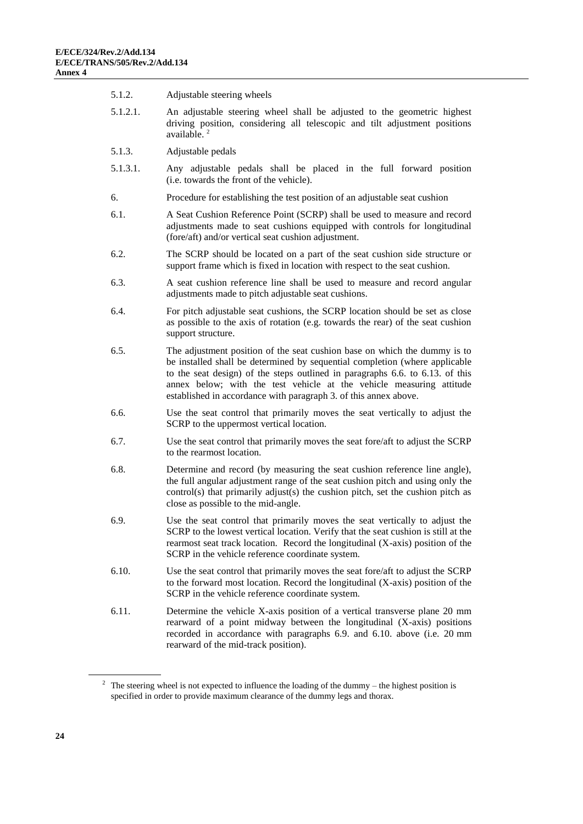| 5.1.2.   | Adjustable steering wheels                                                                                                                                                                                                                                                                                                                                                                  |
|----------|---------------------------------------------------------------------------------------------------------------------------------------------------------------------------------------------------------------------------------------------------------------------------------------------------------------------------------------------------------------------------------------------|
| 5.1.2.1. | An adjustable steering wheel shall be adjusted to the geometric highest<br>driving position, considering all telescopic and tilt adjustment positions<br>available. <sup>2</sup>                                                                                                                                                                                                            |
| 5.1.3.   | Adjustable pedals                                                                                                                                                                                                                                                                                                                                                                           |
| 5.1.3.1. | Any adjustable pedals shall be placed in the full forward position<br>(i.e. towards the front of the vehicle).                                                                                                                                                                                                                                                                              |
| 6.       | Procedure for establishing the test position of an adjustable seat cushion                                                                                                                                                                                                                                                                                                                  |
| 6.1.     | A Seat Cushion Reference Point (SCRP) shall be used to measure and record<br>adjustments made to seat cushions equipped with controls for longitudinal<br>(fore/aft) and/or vertical seat cushion adjustment.                                                                                                                                                                               |
| 6.2.     | The SCRP should be located on a part of the seat cushion side structure or<br>support frame which is fixed in location with respect to the seat cushion.                                                                                                                                                                                                                                    |
| 6.3.     | A seat cushion reference line shall be used to measure and record angular<br>adjustments made to pitch adjustable seat cushions.                                                                                                                                                                                                                                                            |
| 6.4.     | For pitch adjustable seat cushions, the SCRP location should be set as close<br>as possible to the axis of rotation (e.g. towards the rear) of the seat cushion<br>support structure.                                                                                                                                                                                                       |
| 6.5.     | The adjustment position of the seat cushion base on which the dummy is to<br>be installed shall be determined by sequential completion (where applicable<br>to the seat design) of the steps outlined in paragraphs $6.6$ . to $6.13$ . of this<br>annex below; with the test vehicle at the vehicle measuring attitude<br>established in accordance with paragraph 3. of this annex above. |
| 6.6.     | Use the seat control that primarily moves the seat vertically to adjust the<br>SCRP to the uppermost vertical location.                                                                                                                                                                                                                                                                     |
| 6.7.     | Use the seat control that primarily moves the seat fore/aft to adjust the SCRP<br>to the rearmost location.                                                                                                                                                                                                                                                                                 |
| 6.8.     | Determine and record (by measuring the seat cushion reference line angle),<br>the full angular adjustment range of the seat cushion pitch and using only the<br>control(s) that primarily adjust(s) the cushion pitch, set the cushion pitch as<br>close as possible to the mid-angle.                                                                                                      |
| 6.9.     | Use the seat control that primarily moves the seat vertically to adjust the<br>SCRP to the lowest vertical location. Verify that the seat cushion is still at the<br>rearmost seat track location. Record the longitudinal (X-axis) position of the<br>SCRP in the vehicle reference coordinate system.                                                                                     |
| 6.10.    | Use the seat control that primarily moves the seat fore/aft to adjust the SCRP<br>to the forward most location. Record the longitudinal (X-axis) position of the<br>SCRP in the vehicle reference coordinate system.                                                                                                                                                                        |
| 6.11.    | Determine the vehicle X-axis position of a vertical transverse plane 20 mm<br>rearward of a point midway between the longitudinal (X-axis) positions<br>recorded in accordance with paragraphs 6.9. and 6.10. above (i.e. 20 mm<br>rearward of the mid-track position).                                                                                                                     |
|          |                                                                                                                                                                                                                                                                                                                                                                                             |
|          | The steering wheel is not expected to influence the loading of the dummy $-$ the highest position is                                                                                                                                                                                                                                                                                        |

specified in order to provide maximum clearance of the dummy legs and thorax.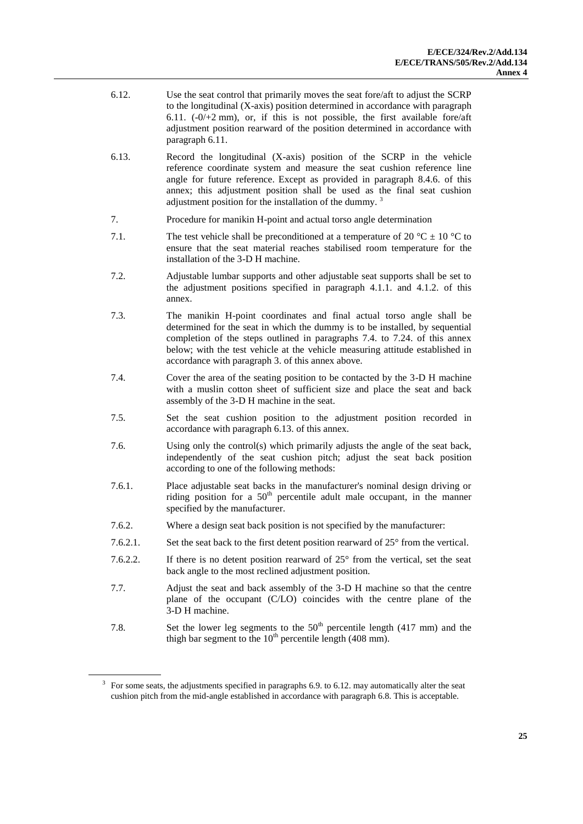- 6.12. Use the seat control that primarily moves the seat fore/aft to adjust the SCRP to the longitudinal (X-axis) position determined in accordance with paragraph 6.11.  $(-0/+2 mm)$ , or, if this is not possible, the first available fore/aft adjustment position rearward of the position determined in accordance with paragraph 6.11.
- 6.13. Record the longitudinal (X-axis) position of the SCRP in the vehicle reference coordinate system and measure the seat cushion reference line angle for future reference. Except as provided in paragraph 8.4.6. of this annex; this adjustment position shall be used as the final seat cushion adjustment position for the installation of the dummy.<sup>3</sup>
- 7. Procedure for manikin H-point and actual torso angle determination
- 7.1. The test vehicle shall be preconditioned at a temperature of 20  $^{\circ}$ C  $\pm$  10  $^{\circ}$ C to ensure that the seat material reaches stabilised room temperature for the installation of the 3-D H machine.
- 7.2. Adjustable lumbar supports and other adjustable seat supports shall be set to the adjustment positions specified in paragraph 4.1.1. and 4.1.2. of this annex.
- 7.3. The manikin H-point coordinates and final actual torso angle shall be determined for the seat in which the dummy is to be installed, by sequential completion of the steps outlined in paragraphs 7.4. to 7.24. of this annex below; with the test vehicle at the vehicle measuring attitude established in accordance with paragraph 3. of this annex above.
- 7.4. Cover the area of the seating position to be contacted by the 3-D H machine with a muslin cotton sheet of sufficient size and place the seat and back assembly of the 3-D H machine in the seat.
- 7.5. Set the seat cushion position to the adjustment position recorded in accordance with paragraph 6.13. of this annex.
- 7.6. Using only the control(s) which primarily adjusts the angle of the seat back, independently of the seat cushion pitch; adjust the seat back position according to one of the following methods:
- 7.6.1. Place adjustable seat backs in the manufacturer's nominal design driving or riding position for a  $50<sup>th</sup>$  percentile adult male occupant, in the manner specified by the manufacturer.
- 7.6.2. Where a design seat back position is not specified by the manufacturer:
- 7.6.2.1. Set the seat back to the first detent position rearward of 25° from the vertical.
- 7.6.2.2. If there is no detent position rearward of 25° from the vertical, set the seat back angle to the most reclined adjustment position.
- 7.7. Adjust the seat and back assembly of the 3-D H machine so that the centre plane of the occupant (C/LO) coincides with the centre plane of the 3-D H machine.
- 7.8. Set the lower leg segments to the  $50<sup>th</sup>$  percentile length (417 mm) and the thigh bar segment to the  $10<sup>th</sup>$  percentile length (408 mm).

 $3$  For some seats, the adjustments specified in paragraphs 6.9. to 6.12. may automatically alter the seat cushion pitch from the mid-angle established in accordance with paragraph 6.8. This is acceptable.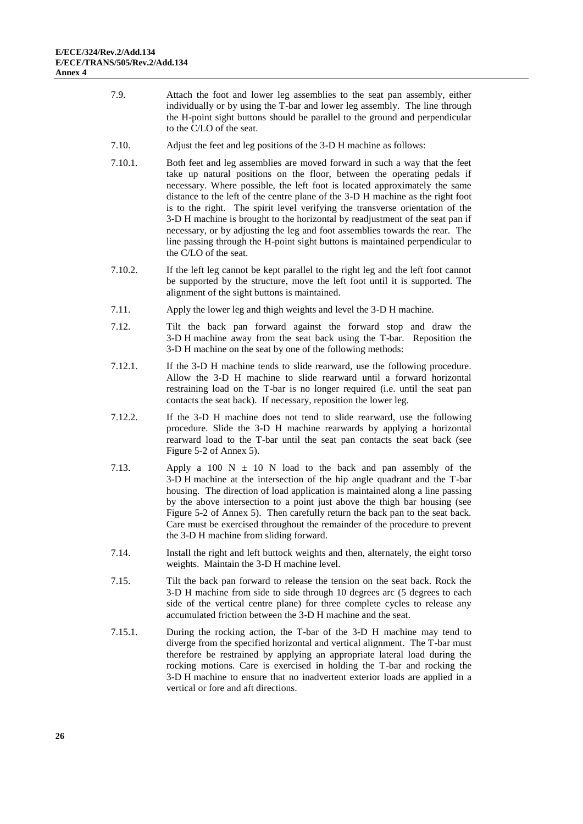- 7.9. Attach the foot and lower leg assemblies to the seat pan assembly, either individually or by using the T-bar and lower leg assembly. The line through the H-point sight buttons should be parallel to the ground and perpendicular to the C/LO of the seat.
- 7.10. Adjust the feet and leg positions of the 3-D H machine as follows:
- 7.10.1. Both feet and leg assemblies are moved forward in such a way that the feet take up natural positions on the floor, between the operating pedals if necessary. Where possible, the left foot is located approximately the same distance to the left of the centre plane of the 3-D H machine as the right foot is to the right. The spirit level verifying the transverse orientation of the 3-D H machine is brought to the horizontal by readjustment of the seat pan if necessary, or by adjusting the leg and foot assemblies towards the rear. The line passing through the H-point sight buttons is maintained perpendicular to the C/LO of the seat.
- 7.10.2. If the left leg cannot be kept parallel to the right leg and the left foot cannot be supported by the structure, move the left foot until it is supported. The alignment of the sight buttons is maintained.
- 7.11. Apply the lower leg and thigh weights and level the 3-D H machine.
- 7.12. Tilt the back pan forward against the forward stop and draw the 3-D H machine away from the seat back using the T-bar. Reposition the 3-D H machine on the seat by one of the following methods:
- 7.12.1. If the 3-D H machine tends to slide rearward, use the following procedure. Allow the 3-D H machine to slide rearward until a forward horizontal restraining load on the T-bar is no longer required (i.e. until the seat pan contacts the seat back). If necessary, reposition the lower leg.
- 7.12.2. If the 3-D H machine does not tend to slide rearward, use the following procedure. Slide the 3-D H machine rearwards by applying a horizontal rearward load to the T-bar until the seat pan contacts the seat back (see Figure 5-2 of Annex 5).
- 7.13. Apply a 100 N  $\pm$  10 N load to the back and pan assembly of the 3-D H machine at the intersection of the hip angle quadrant and the T-bar housing. The direction of load application is maintained along a line passing by the above intersection to a point just above the thigh bar housing (see Figure 5-2 of Annex 5). Then carefully return the back pan to the seat back. Care must be exercised throughout the remainder of the procedure to prevent the 3-D H machine from sliding forward.
- 7.14. Install the right and left buttock weights and then, alternately, the eight torso weights. Maintain the 3-D H machine level.
- 7.15. Tilt the back pan forward to release the tension on the seat back. Rock the 3-D H machine from side to side through 10 degrees arc (5 degrees to each side of the vertical centre plane) for three complete cycles to release any accumulated friction between the 3-D H machine and the seat.
- 7.15.1. During the rocking action, the T-bar of the 3-D H machine may tend to diverge from the specified horizontal and vertical alignment. The T-bar must therefore be restrained by applying an appropriate lateral load during the rocking motions. Care is exercised in holding the T-bar and rocking the 3-D H machine to ensure that no inadvertent exterior loads are applied in a vertical or fore and aft directions.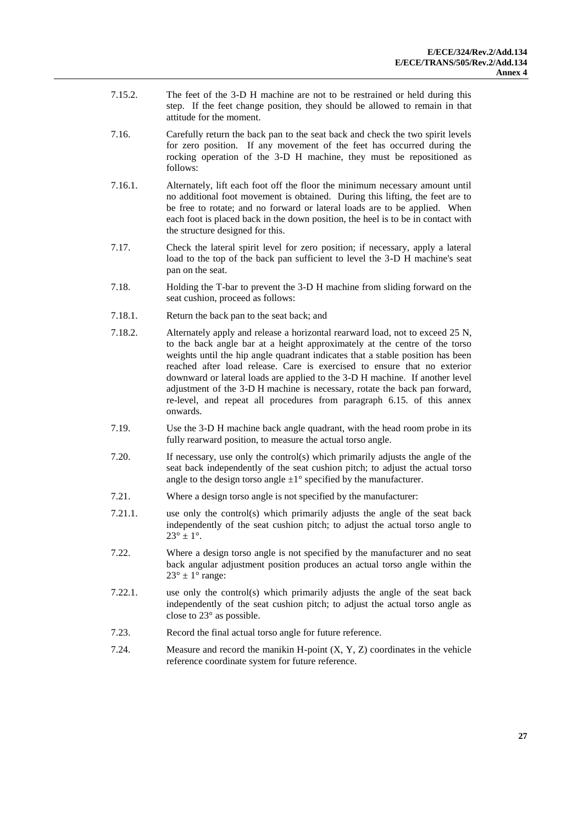- 7.15.2. The feet of the 3-D H machine are not to be restrained or held during this step. If the feet change position, they should be allowed to remain in that attitude for the moment.
- 7.16. Carefully return the back pan to the seat back and check the two spirit levels for zero position. If any movement of the feet has occurred during the rocking operation of the 3-D H machine, they must be repositioned as follows:
- 7.16.1. Alternately, lift each foot off the floor the minimum necessary amount until no additional foot movement is obtained. During this lifting, the feet are to be free to rotate; and no forward or lateral loads are to be applied. When each foot is placed back in the down position, the heel is to be in contact with the structure designed for this.
- 7.17. Check the lateral spirit level for zero position; if necessary, apply a lateral load to the top of the back pan sufficient to level the 3-D H machine's seat pan on the seat.
- 7.18. Holding the T-bar to prevent the 3-D H machine from sliding forward on the seat cushion, proceed as follows:
- 7.18.1. Return the back pan to the seat back; and
- 7.18.2. Alternately apply and release a horizontal rearward load, not to exceed 25 N, to the back angle bar at a height approximately at the centre of the torso weights until the hip angle quadrant indicates that a stable position has been reached after load release. Care is exercised to ensure that no exterior downward or lateral loads are applied to the 3-D H machine. If another level adjustment of the 3-D H machine is necessary, rotate the back pan forward, re-level, and repeat all procedures from paragraph 6.15. of this annex onwards.
- 7.19. Use the 3-D H machine back angle quadrant, with the head room probe in its fully rearward position, to measure the actual torso angle.
- 7.20. If necessary, use only the control(s) which primarily adjusts the angle of the seat back independently of the seat cushion pitch; to adjust the actual torso angle to the design torso angle  $\pm 1^{\circ}$  specified by the manufacturer.
- 7.21. Where a design torso angle is not specified by the manufacturer:
- 7.21.1. use only the control(s) which primarily adjusts the angle of the seat back independently of the seat cushion pitch; to adjust the actual torso angle to  $23^{\circ} \pm 1^{\circ}$ .
- 7.22. Where a design torso angle is not specified by the manufacturer and no seat back angular adjustment position produces an actual torso angle within the  $23^\circ \pm 1^\circ$  range:
- 7.22.1. use only the control(s) which primarily adjusts the angle of the seat back independently of the seat cushion pitch; to adjust the actual torso angle as close to 23° as possible.
- 7.23. Record the final actual torso angle for future reference.
- 7.24. Measure and record the manikin H-point (X, Y, Z) coordinates in the vehicle reference coordinate system for future reference.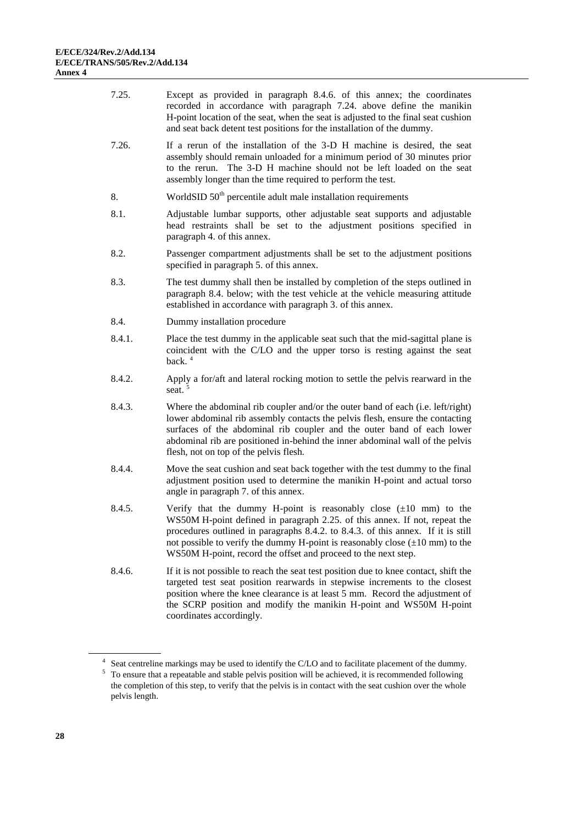| 7.25.  | Except as provided in paragraph 8.4.6. of this annex; the coordinates<br>recorded in accordance with paragraph 7.24. above define the manikin<br>H-point location of the seat, when the seat is adjusted to the final seat cushion<br>and seat back detent test positions for the installation of the dummy.                                                                                                    |
|--------|-----------------------------------------------------------------------------------------------------------------------------------------------------------------------------------------------------------------------------------------------------------------------------------------------------------------------------------------------------------------------------------------------------------------|
| 7.26.  | If a rerun of the installation of the 3-D H machine is desired, the seat<br>assembly should remain unloaded for a minimum period of 30 minutes prior<br>to the rerun. The 3-D H machine should not be left loaded on the seat<br>assembly longer than the time required to perform the test.                                                                                                                    |
| 8.     | WorldSID 50 <sup>th</sup> percentile adult male installation requirements                                                                                                                                                                                                                                                                                                                                       |
| 8.1.   | Adjustable lumbar supports, other adjustable seat supports and adjustable<br>head restraints shall be set to the adjustment positions specified in<br>paragraph 4. of this annex.                                                                                                                                                                                                                               |
| 8.2.   | Passenger compartment adjustments shall be set to the adjustment positions<br>specified in paragraph 5. of this annex.                                                                                                                                                                                                                                                                                          |
| 8.3.   | The test dummy shall then be installed by completion of the steps outlined in<br>paragraph 8.4. below; with the test vehicle at the vehicle measuring attitude<br>established in accordance with paragraph 3. of this annex.                                                                                                                                                                                    |
| 8.4.   | Dummy installation procedure                                                                                                                                                                                                                                                                                                                                                                                    |
| 8.4.1. | Place the test dummy in the applicable seat such that the mid-sagittal plane is<br>coincident with the C/LO and the upper torso is resting against the seat<br>back. $4$                                                                                                                                                                                                                                        |
| 8.4.2. | Apply a for/aft and lateral rocking motion to settle the pelvis rearward in the<br>seat. <sup>5</sup>                                                                                                                                                                                                                                                                                                           |
| 8.4.3. | Where the abdominal rib coupler and/or the outer band of each (i.e. left/right)<br>lower abdominal rib assembly contacts the pelvis flesh, ensure the contacting<br>surfaces of the abdominal rib coupler and the outer band of each lower<br>abdominal rib are positioned in-behind the inner abdominal wall of the pelvis<br>flesh, not on top of the pelvis flesh.                                           |
| 8.4.4. | Move the seat cushion and seat back together with the test dummy to the final<br>adjustment position used to determine the manikin H-point and actual torso<br>angle in paragraph 7. of this annex.                                                                                                                                                                                                             |
| 8.4.5. | Verify that the dummy H-point is reasonably close $(\pm 10 \text{ mm})$ to the<br>WS50M H-point defined in paragraph 2.25. of this annex. If not, repeat the<br>procedures outlined in paragraphs 8.4.2. to 8.4.3. of this annex. If it is still<br>not possible to verify the dummy H-point is reasonably close $(\pm 10 \text{ mm})$ to the<br>WS50M H-point, record the offset and proceed to the next step. |
| 8.4.6. | If it is not possible to reach the seat test position due to knee contact, shift the<br>targeted test seat position rearwards in stepwise increments to the closest<br>position where the knee clearance is at least 5 mm. Record the adjustment of<br>the SCRP position and modify the manikin H-point and WS50M H-point<br>coordinates accordingly.                                                           |

<sup>&</sup>lt;sup>4</sup> Seat centreline markings may be used to identify the C/LO and to facilitate placement of the dummy.  $5$  To ensure that a repeatable and stable pelvis position will be achieved, it is recommended following the completion of this step, to verify that the pelvis is in contact with the seat cushion over the whole pelvis length.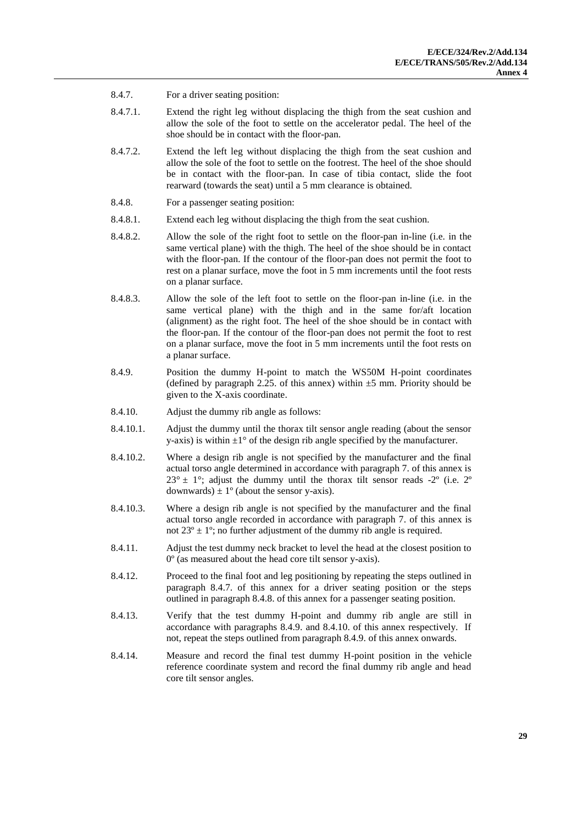- 8.4.7. For a driver seating position:
- 8.4.7.1. Extend the right leg without displacing the thigh from the seat cushion and allow the sole of the foot to settle on the accelerator pedal. The heel of the shoe should be in contact with the floor-pan.
- 8.4.7.2. Extend the left leg without displacing the thigh from the seat cushion and allow the sole of the foot to settle on the footrest. The heel of the shoe should be in contact with the floor-pan. In case of tibia contact, slide the foot rearward (towards the seat) until a 5 mm clearance is obtained.
- 8.4.8. For a passenger seating position:
- 8.4.8.1. Extend each leg without displacing the thigh from the seat cushion.
- 8.4.8.2. Allow the sole of the right foot to settle on the floor-pan in-line (i.e. in the same vertical plane) with the thigh. The heel of the shoe should be in contact with the floor-pan. If the contour of the floor-pan does not permit the foot to rest on a planar surface, move the foot in 5 mm increments until the foot rests on a planar surface.
- 8.4.8.3. Allow the sole of the left foot to settle on the floor-pan in-line (i.e. in the same vertical plane) with the thigh and in the same for/aft location (alignment) as the right foot. The heel of the shoe should be in contact with the floor-pan. If the contour of the floor-pan does not permit the foot to rest on a planar surface, move the foot in 5 mm increments until the foot rests on a planar surface.
- 8.4.9. Position the dummy H-point to match the WS50M H-point coordinates (defined by paragraph 2.25. of this annex) within  $\pm$ 5 mm. Priority should be given to the X-axis coordinate.
- 8.4.10. Adjust the dummy rib angle as follows:
- 8.4.10.1. Adjust the dummy until the thorax tilt sensor angle reading (about the sensor y-axis) is within  $\pm 1^{\circ}$  of the design rib angle specified by the manufacturer.
- 8.4.10.2. Where a design rib angle is not specified by the manufacturer and the final actual torso angle determined in accordance with paragraph 7. of this annex is  $23^{\circ}$  ± 1°; adjust the dummy until the thorax tilt sensor reads -2° (i.e. 2° downwards)  $\pm 1^{\circ}$  (about the sensor y-axis).
- 8.4.10.3. Where a design rib angle is not specified by the manufacturer and the final actual torso angle recorded in accordance with paragraph 7. of this annex is not  $23^{\circ} \pm 1^{\circ}$ ; no further adjustment of the dummy rib angle is required.
- 8.4.11. Adjust the test dummy neck bracket to level the head at the closest position to 0º (as measured about the head core tilt sensor y-axis).
- 8.4.12. Proceed to the final foot and leg positioning by repeating the steps outlined in paragraph 8.4.7. of this annex for a driver seating position or the steps outlined in paragraph 8.4.8. of this annex for a passenger seating position.
- 8.4.13. Verify that the test dummy H-point and dummy rib angle are still in accordance with paragraphs 8.4.9. and 8.4.10. of this annex respectively. If not, repeat the steps outlined from paragraph 8.4.9. of this annex onwards.
- 8.4.14. Measure and record the final test dummy H-point position in the vehicle reference coordinate system and record the final dummy rib angle and head core tilt sensor angles.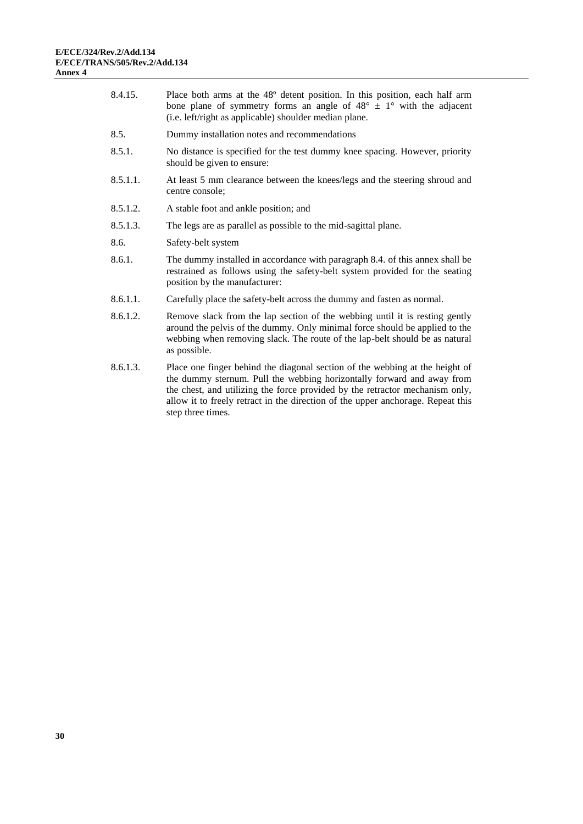| 8.4.15.  | Place both arms at the 48° detent position. In this position, each half arm<br>bone plane of symmetry forms an angle of $48^{\circ} \pm 1^{\circ}$ with the adjacent<br>(i.e. left/right as applicable) shoulder median plane.                            |
|----------|-----------------------------------------------------------------------------------------------------------------------------------------------------------------------------------------------------------------------------------------------------------|
| 8.5.     | Dummy installation notes and recommendations                                                                                                                                                                                                              |
| 8.5.1.   | No distance is specified for the test dummy knee spacing. However, priority<br>should be given to ensure:                                                                                                                                                 |
| 8.5.1.1. | At least 5 mm clearance between the knees/legs and the steering shroud and<br>centre console;                                                                                                                                                             |
| 8.5.1.2. | A stable foot and ankle position; and                                                                                                                                                                                                                     |
| 8.5.1.3. | The legs are as parallel as possible to the mid-sagittal plane.                                                                                                                                                                                           |
| 8.6.     | Safety-belt system                                                                                                                                                                                                                                        |
| 8.6.1.   | The dummy installed in accordance with paragraph 8.4. of this annex shall be<br>restrained as follows using the safety-belt system provided for the seating<br>position by the manufacturer:                                                              |
| 8.6.1.1. | Carefully place the safety-belt across the dummy and fasten as normal.                                                                                                                                                                                    |
| 8.6.1.2. | Remove slack from the lap section of the webbing until it is resting gently<br>around the pelvis of the dummy. Only minimal force should be applied to the<br>webbing when removing slack. The route of the lap-belt should be as natural<br>as possible. |
| 8.6.1.3. | Place one finger behind the diagonal section of the webbing at the height of<br>the dummy sternum. Pull the webbing horizontally forward and away from<br>the chest, and utilizing the force provided by the retractor mechanism only,                    |

allow it to freely retract in the direction of the upper anchorage. Repeat this

step three times.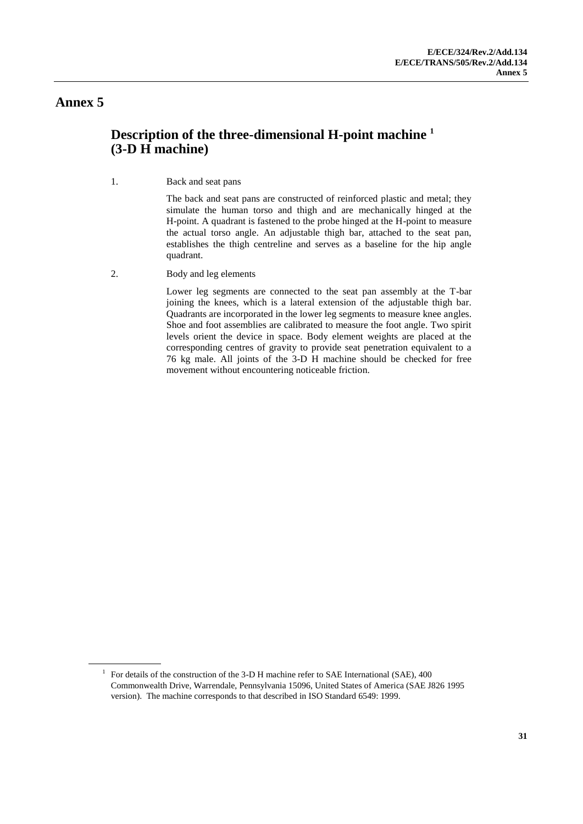## <span id="page-30-0"></span>**Description of the three-dimensional H-point machine <sup>1</sup> (3-D H machine)**

1. Back and seat pans

The back and seat pans are constructed of reinforced plastic and metal; they simulate the human torso and thigh and are mechanically hinged at the H-point. A quadrant is fastened to the probe hinged at the H-point to measure the actual torso angle. An adjustable thigh bar, attached to the seat pan, establishes the thigh centreline and serves as a baseline for the hip angle quadrant.

2. Body and leg elements

Lower leg segments are connected to the seat pan assembly at the T-bar joining the knees, which is a lateral extension of the adjustable thigh bar. Quadrants are incorporated in the lower leg segments to measure knee angles. Shoe and foot assemblies are calibrated to measure the foot angle. Two spirit levels orient the device in space. Body element weights are placed at the corresponding centres of gravity to provide seat penetration equivalent to a 76 kg male. All joints of the 3-D H machine should be checked for free movement without encountering noticeable friction.

<sup>&</sup>lt;sup>1</sup> For details of the construction of the 3-D H machine refer to SAE International (SAE), 400 Commonwealth Drive, Warrendale, Pennsylvania 15096, United States of America (SAE J826 1995 version). The machine corresponds to that described in ISO Standard 6549: 1999.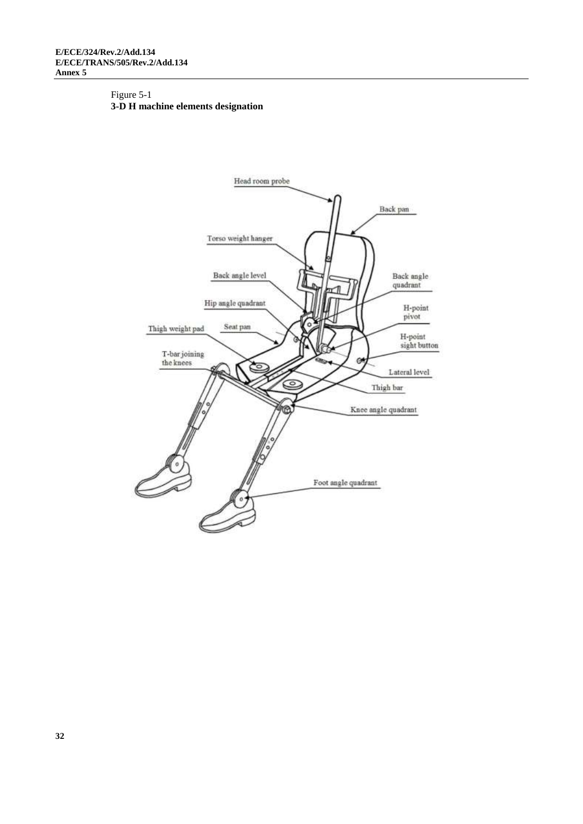#### Figure 5-1 **3-D H machine elements designation**

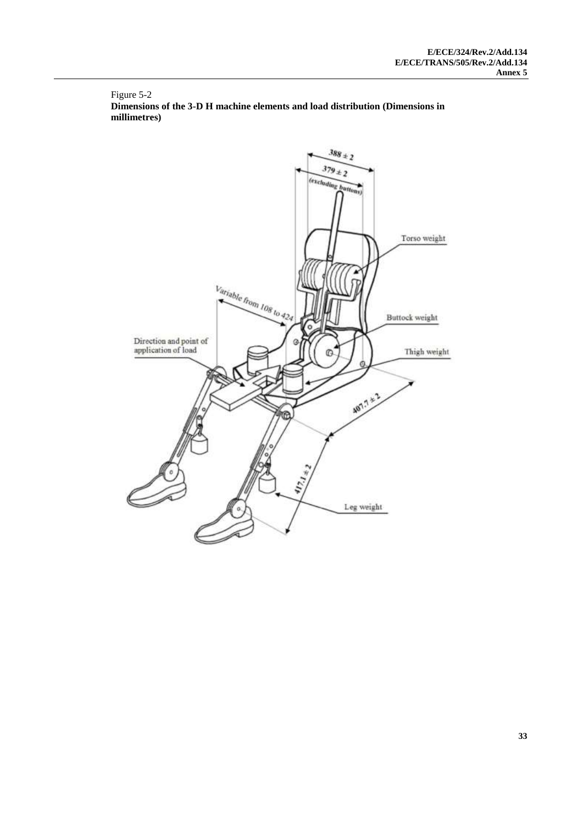Figure 5-2 **Dimensions of the 3-D H machine elements and load distribution (Dimensions in millimetres)**

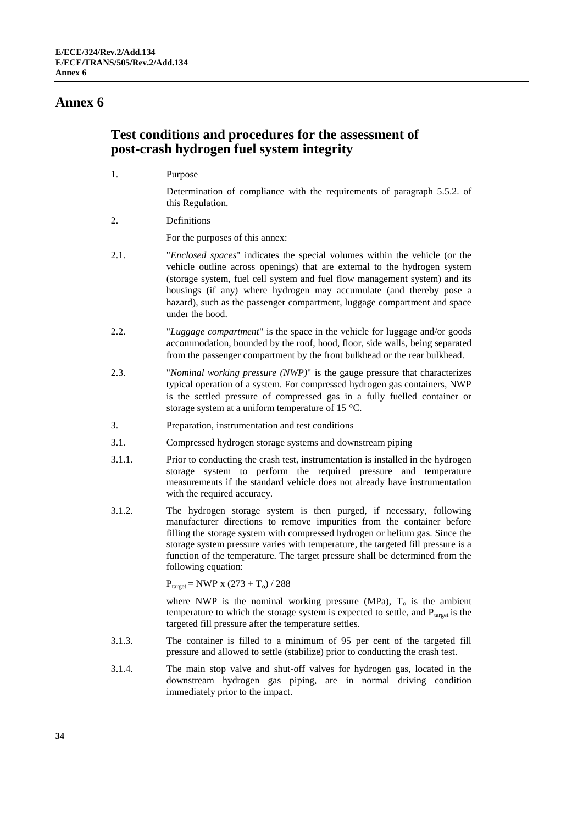### <span id="page-33-0"></span>**Test conditions and procedures for the assessment of post-crash hydrogen fuel system integrity**

1. Purpose

Determination of compliance with the requirements of paragraph 5.5.2. of this Regulation.

2. Definitions

For the purposes of this annex:

- 2.1. "*Enclosed spaces*" indicates the special volumes within the vehicle (or the vehicle outline across openings) that are external to the hydrogen system (storage system, fuel cell system and fuel flow management system) and its housings (if any) where hydrogen may accumulate (and thereby pose a hazard), such as the passenger compartment, luggage compartment and space under the hood.
- 2.2. "*Luggage compartment*" is the space in the vehicle for luggage and/or goods accommodation, bounded by the roof, hood, floor, side walls, being separated from the passenger compartment by the front bulkhead or the rear bulkhead.
- 2.3. "*Nominal working pressure (NWP)*" is the gauge pressure that characterizes typical operation of a system. For compressed hydrogen gas containers, NWP is the settled pressure of compressed gas in a fully fuelled container or storage system at a uniform temperature of 15 °C.
- 3. Preparation, instrumentation and test conditions
- 3.1. Compressed hydrogen storage systems and downstream piping
- 3.1.1. Prior to conducting the crash test, instrumentation is installed in the hydrogen storage system to perform the required pressure and temperature measurements if the standard vehicle does not already have instrumentation with the required accuracy.
- 3.1.2. The hydrogen storage system is then purged, if necessary, following manufacturer directions to remove impurities from the container before filling the storage system with compressed hydrogen or helium gas. Since the storage system pressure varies with temperature, the targeted fill pressure is a function of the temperature. The target pressure shall be determined from the following equation:

 $P_{\text{target}} = NWP \times (273 + T_{o}) / 288$ 

where NWP is the nominal working pressure (MPa),  $T<sub>o</sub>$  is the ambient temperature to which the storage system is expected to settle, and  $P_{target}$  is the targeted fill pressure after the temperature settles.

- 3.1.3. The container is filled to a minimum of 95 per cent of the targeted fill pressure and allowed to settle (stabilize) prior to conducting the crash test.
- 3.1.4. The main stop valve and shut-off valves for hydrogen gas, located in the downstream hydrogen gas piping, are in normal driving condition immediately prior to the impact.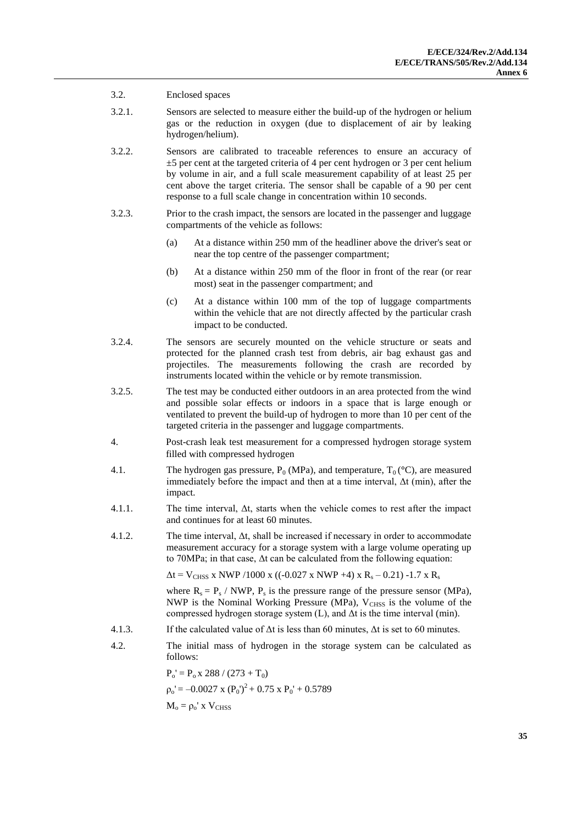#### 3.2. Enclosed spaces

- 3.2.1. Sensors are selected to measure either the build-up of the hydrogen or helium gas or the reduction in oxygen (due to displacement of air by leaking hydrogen/helium).
- 3.2.2. Sensors are calibrated to traceable references to ensure an accuracy of ±5 per cent at the targeted criteria of 4 per cent hydrogen or 3 per cent helium by volume in air, and a full scale measurement capability of at least 25 per cent above the target criteria. The sensor shall be capable of a 90 per cent response to a full scale change in concentration within 10 seconds.
- 3.2.3. Prior to the crash impact, the sensors are located in the passenger and luggage compartments of the vehicle as follows:
	- (a) At a distance within 250 mm of the headliner above the driver's seat or near the top centre of the passenger compartment;
	- (b) At a distance within 250 mm of the floor in front of the rear (or rear most) seat in the passenger compartment; and
	- (c) At a distance within 100 mm of the top of luggage compartments within the vehicle that are not directly affected by the particular crash impact to be conducted.
- 3.2.4. The sensors are securely mounted on the vehicle structure or seats and protected for the planned crash test from debris, air bag exhaust gas and projectiles. The measurements following the crash are recorded by instruments located within the vehicle or by remote transmission.
- 3.2.5. The test may be conducted either outdoors in an area protected from the wind and possible solar effects or indoors in a space that is large enough or ventilated to prevent the build-up of hydrogen to more than 10 per cent of the targeted criteria in the passenger and luggage compartments.
- 4. Post-crash leak test measurement for a compressed hydrogen storage system filled with compressed hydrogen
- 4.1. The hydrogen gas pressure,  $P_0$  (MPa), and temperature,  $T_0$  ( $\degree$ C), are measured immediately before the impact and then at a time interval, Δt (min), after the impact.
- 4.1.1. The time interval, Δt, starts when the vehicle comes to rest after the impact and continues for at least 60 minutes.
- 4.1.2. The time interval,  $\Delta t$ , shall be increased if necessary in order to accommodate measurement accuracy for a storage system with a large volume operating up to 70MPa; in that case, Δt can be calculated from the following equation:

 $\Delta t = V_{CHSS}$  x NWP /1000 x ((-0.027 x NWP +4) x R<sub>s</sub> – 0.21) -1.7 x R<sub>s</sub>

where  $R_s = P_s / NWP$ ,  $P_s$  is the pressure range of the pressure sensor (MPa), NWP is the Nominal Working Pressure (MPa),  $V_{CHSS}$  is the volume of the compressed hydrogen storage system (L), and Δt is the time interval (min).

- 4.1.3. If the calculated value of  $\Delta t$  is less than 60 minutes,  $\Delta t$  is set to 60 minutes.
- 4.2. The initial mass of hydrogen in the storage system can be calculated as follows:

 $P_0' = P_0 x 288 / (273 + T_0)$  $\rho_0' = -0.0027 \times (P_0')^2 + 0.75 \times P_0' + 0.5789$  $M_0 = \rho_0'$  x  $V_{CHSS}$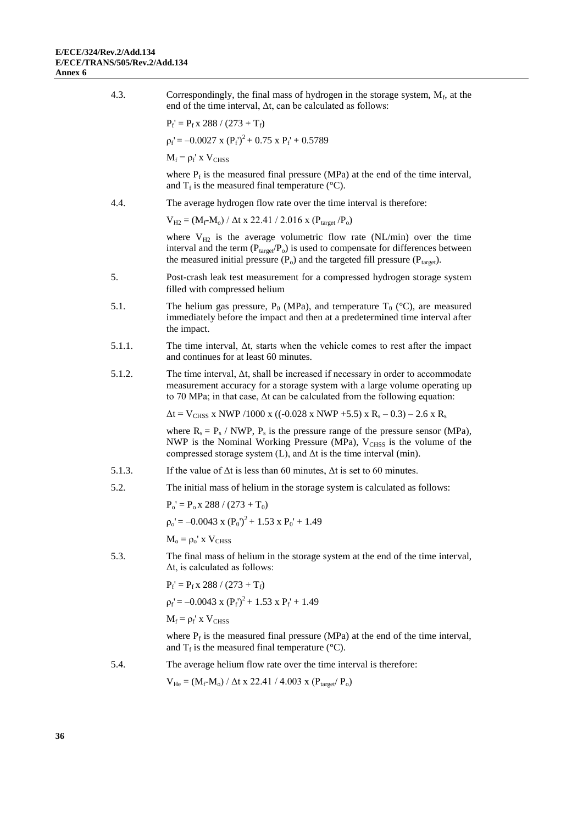| 4.3.   | Correspondingly, the final mass of hydrogen in the storage system, $M_f$ , at the<br>end of the time interval, $\Delta t$ , can be calculated as follows:                                                                                                           |
|--------|---------------------------------------------------------------------------------------------------------------------------------------------------------------------------------------------------------------------------------------------------------------------|
|        | $P_f' = P_f x 288 / (273 + T_f)$                                                                                                                                                                                                                                    |
|        | $p_f' = -0.0027$ x $(P_f')^2 + 0.75$ x $P_f' + 0.5789$                                                                                                                                                                                                              |
|        | $M_f = \rho_f'$ x $V_{CHSS}$                                                                                                                                                                                                                                        |
|        | where $P_f$ is the measured final pressure (MPa) at the end of the time interval,<br>and $T_f$ is the measured final temperature ( $\rm ^{\circ}C$ ).                                                                                                               |
| 4.4.   | The average hydrogen flow rate over the time interval is therefore:                                                                                                                                                                                                 |
|        | $V_{H2} = (M_f - M_o) / \Delta t \times 22.41 / 2.016 \times (P_{target}/P_o)$                                                                                                                                                                                      |
|        | where $V_{H2}$ is the average volumetric flow rate (NL/min) over the time<br>interval and the term $(P_{target}/P_o)$ is used to compensate for differences between<br>the measured initial pressure $(P_0)$ and the targeted fill pressure $(P_{\text{target}})$ . |
| 5.     | Post-crash leak test measurement for a compressed hydrogen storage system<br>filled with compressed helium                                                                                                                                                          |
| 5.1.   | The helium gas pressure, $P_0$ (MPa), and temperature $T_0$ (°C), are measured<br>immediately before the impact and then at a predetermined time interval after<br>the impact.                                                                                      |
| 5.1.1. | The time interval, $\Delta t$ , starts when the vehicle comes to rest after the impact<br>and continues for at least 60 minutes.                                                                                                                                    |
| 5.1.2. | The time interval, $\Delta t$ , shall be increased if necessary in order to accommodate<br>measurement accuracy for a storage system with a large volume operating up<br>to 70 MPa; in that case, $\Delta t$ can be calculated from the following equation:         |
|        | $\Delta t$ = V <sub>CHSS</sub> x NWP /1000 x ((-0.028 x NWP +5.5) x R <sub>s</sub> – 0.3) – 2.6 x R <sub>s</sub>                                                                                                                                                    |
|        | where $R_s = P_s / NWP$ , $P_s$ is the pressure range of the pressure sensor (MPa),<br>NWP is the Nominal Working Pressure (MPa), V <sub>CHSS</sub> is the volume of the<br>compressed storage system $(L)$ , and $\Delta t$ is the time interval (min).            |
| 5.1.3. | If the value of $\Delta t$ is less than 60 minutes, $\Delta t$ is set to 60 minutes.                                                                                                                                                                                |
| 5.2.   | The initial mass of helium in the storage system is calculated as follows:                                                                                                                                                                                          |
|        | $P_0' = P_0 x 288 / (273 + T_0)$                                                                                                                                                                                                                                    |
|        | $p_0' = -0.0043$ x $(P_0')^2 + 1.53$ x $P_0' + 1.49$                                                                                                                                                                                                                |
|        | $M_o = \rho_o'$ x $V_{CHSS}$                                                                                                                                                                                                                                        |
| 5.3.   | The final mass of helium in the storage system at the end of the time interval,<br>$\Delta t$ , is calculated as follows:                                                                                                                                           |
|        | $P_f' = P_f x 288 / (273 + T_f)$                                                                                                                                                                                                                                    |
|        | $p_f' = -0.0043$ x $(P_f')^2 + 1.53$ x $P_f' + 1.49$                                                                                                                                                                                                                |
|        | $M_f = \rho_f'$ x $V_{CHSS}$                                                                                                                                                                                                                                        |
|        | where $P_f$ is the measured final pressure (MPa) at the end of the time interval,<br>and $T_f$ is the measured final temperature ( $\rm ^{\circ}C$ ).                                                                                                               |
| 5.4.   | The average helium flow rate over the time interval is therefore:                                                                                                                                                                                                   |
|        | $V_{He} = (M_f - M_o) / \Delta t \times 22.41 / 4.003 \times (P_{target} / P_o)$                                                                                                                                                                                    |
|        |                                                                                                                                                                                                                                                                     |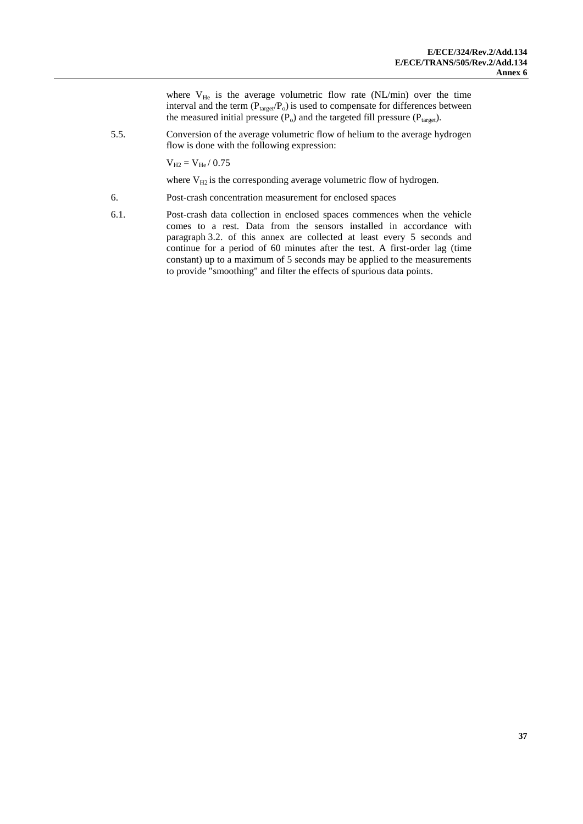where  $V_{He}$  is the average volumetric flow rate (NL/min) over the time interval and the term ( $P_{target}/P_o$ ) is used to compensate for differences between the measured initial pressure  $(P_0)$  and the targeted fill pressure  $(P_{target})$ .

5.5. Conversion of the average volumetric flow of helium to the average hydrogen flow is done with the following expression:

 $V_{H2} = V_{He} / 0.75$ 

where  $V_{H2}$  is the corresponding average volumetric flow of hydrogen.

- 6. Post-crash concentration measurement for enclosed spaces
- 6.1. Post-crash data collection in enclosed spaces commences when the vehicle comes to a rest. Data from the sensors installed in accordance with paragraph 3.2. of this annex are collected at least every 5 seconds and continue for a period of 60 minutes after the test. A first-order lag (time constant) up to a maximum of 5 seconds may be applied to the measurements to provide "smoothing" and filter the effects of spurious data points.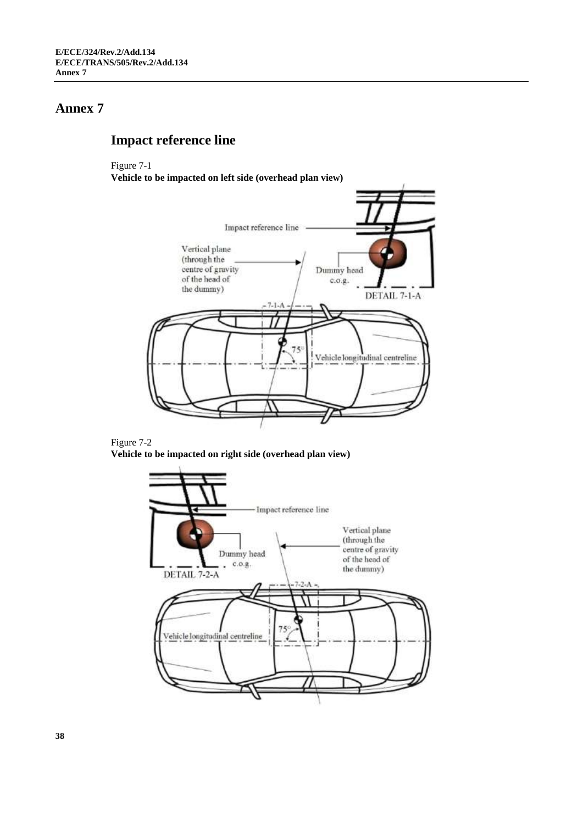## <span id="page-37-0"></span>**Impact reference line**

#### Figure 7-1

**Vehicle to be impacted on left side (overhead plan view)**





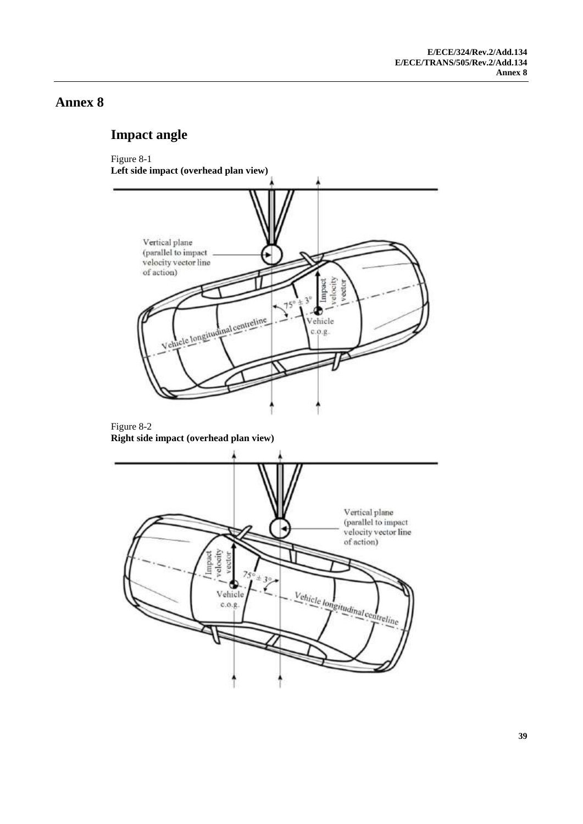## <span id="page-38-0"></span>**Impact angle**

#### Figure 8-1



#### Figure 8-2 **Right side impact (overhead plan view)**

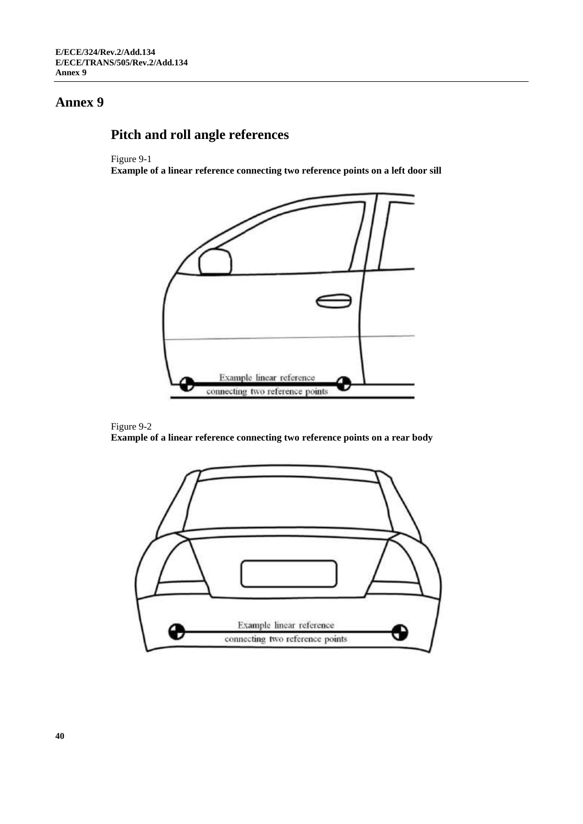# <span id="page-39-0"></span>**Pitch and roll angle references**

#### Figure 9-1

**Example of a linear reference connecting two reference points on a left door sill**





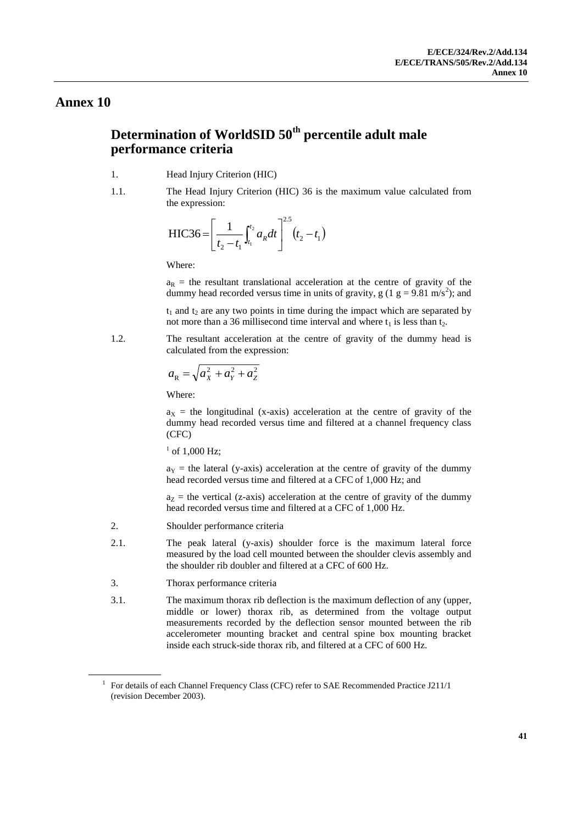## <span id="page-40-0"></span>**Determination of WorldSID 50th percentile adult male performance criteria**

- 1. Head Injury Criterion (HIC)
- 1.1. The Head Injury Criterion (HIC) 36 is the maximum value calculated from the expression:

$$
HIC36 = \left[\frac{1}{t_2 - t_1}\int_{t_1}^{t_2} a_R dt\right]^{2.5} (t_2 - t_1)
$$

Where:

 $a_R$  = the resultant translational acceleration at the centre of gravity of the dummy head recorded versus time in units of gravity,  $g(1 g = 9.81 m/s<sup>2</sup>)$ ; and

 $t_1$  and  $t_2$  are any two points in time during the impact which are separated by not more than a 36 millisecond time interval and where  $t_1$  is less than  $t_2$ .

1.2. The resultant acceleration at the centre of gravity of the dummy head is calculated from the expression:

$$
a_{\rm R} = \sqrt{a_{\rm X}^2 + a_{\rm Y}^2 + a_{\rm Z}^2}
$$

Where:

 $a_X$  = the longitudinal (x-axis) acceleration at the centre of gravity of the dummy head recorded versus time and filtered at a channel frequency class (CFC)

 $^{1}$  of 1,000 Hz;

 $a<sub>Y</sub>$  = the lateral (y-axis) acceleration at the centre of gravity of the dummy head recorded versus time and filtered at a CFC of 1,000 Hz; and

 $a<sub>Z</sub>$  = the vertical (z-axis) acceleration at the centre of gravity of the dummy head recorded versus time and filtered at a CFC of 1,000 Hz.

- 2. Shoulder performance criteria
- 2.1. The peak lateral (y-axis) shoulder force is the maximum lateral force measured by the load cell mounted between the shoulder clevis assembly and the shoulder rib doubler and filtered at a CFC of 600 Hz.
- 3. Thorax performance criteria
- 3.1. The maximum thorax rib deflection is the maximum deflection of any (upper, middle or lower) thorax rib, as determined from the voltage output measurements recorded by the deflection sensor mounted between the rib accelerometer mounting bracket and central spine box mounting bracket inside each struck-side thorax rib, and filtered at a CFC of 600 Hz.

<sup>&</sup>lt;sup>1</sup> For details of each Channel Frequency Class (CFC) refer to SAE Recommended Practice J211/1 (revision December 2003).